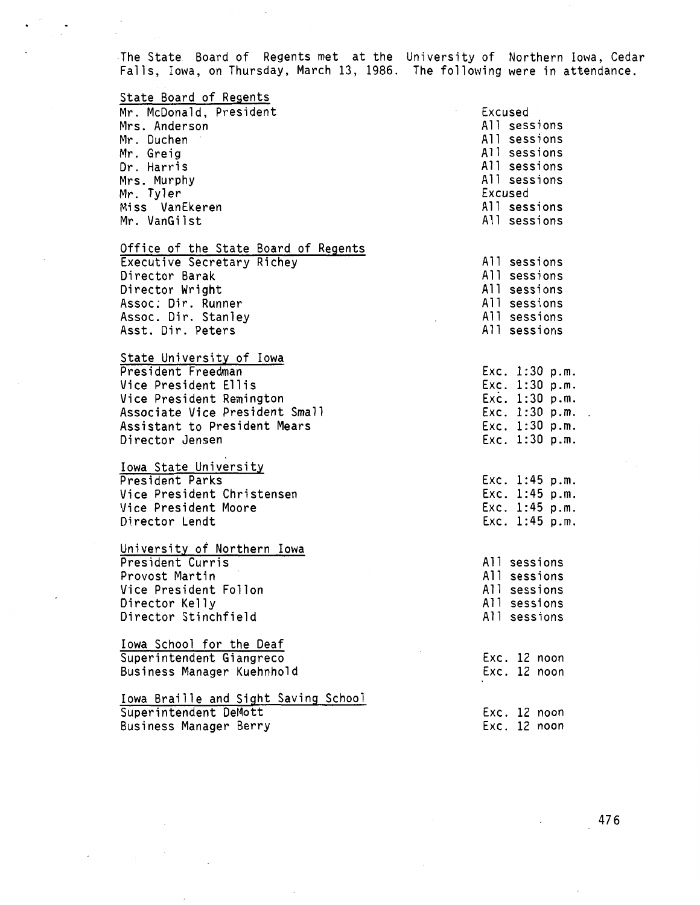The State Board of Regents met at the University of Northern Iowa, Cedar Falls, Iowa, on Thursday, March 13, 1986. The following were in attendance.

## State Board of Regents

Mr. McDonald, President Mrs. Anderson Mr. Duchen Mr. Greig Dr. Harris Mrs. Murphy Mr. Tyler Miss VanEkeren Mr. VanGilst

Office of the State Board of Regents Executive Secretary Richey Director Barak Director Wright Assoc: Dir. Runner Assoc. Dir. Stanley Asst. Dir. Peters

State University of Iowa President Freedman Vice President Ellis Vice President Remington Associate Vice President Small Assistant to President Mears Director Jensen

Iowa State University President Parks Vice President Christensen Vice President Moore Director Lendt

University of Northern Iowa President Curris Provost Martin Vice President Fellon Director Kelly Director Stinchfield

Iowa School for the Deaf Superintendent Giangreco Business Manager Kuehnhold

Iowa Braille and Sight Saving School Superintendent DeMott Business Manager Berry

Excused All sessions All sessions All sessions All sessions All sessions Excused All sessions All sessions All sessions All sessions All sessions All sessions All sessions All sessions Exe. 1:30 p.m. Exe. 1:30 p.m. Exe. 1:30 p.m. Exe. 1:30 p.m. Exe. 1:30 p.m. Exe. 1:30 p.m. Exe. 1:45 p.m. Exe. 1:45 p.m. Exe. 1:45 p.m. Exe. 1:45 p.m. All sessions All sessions All sessions All sessions All sessions Exe. 12 noon Exe. 12 noon

> Exe. 12 noon Exe. 12 noon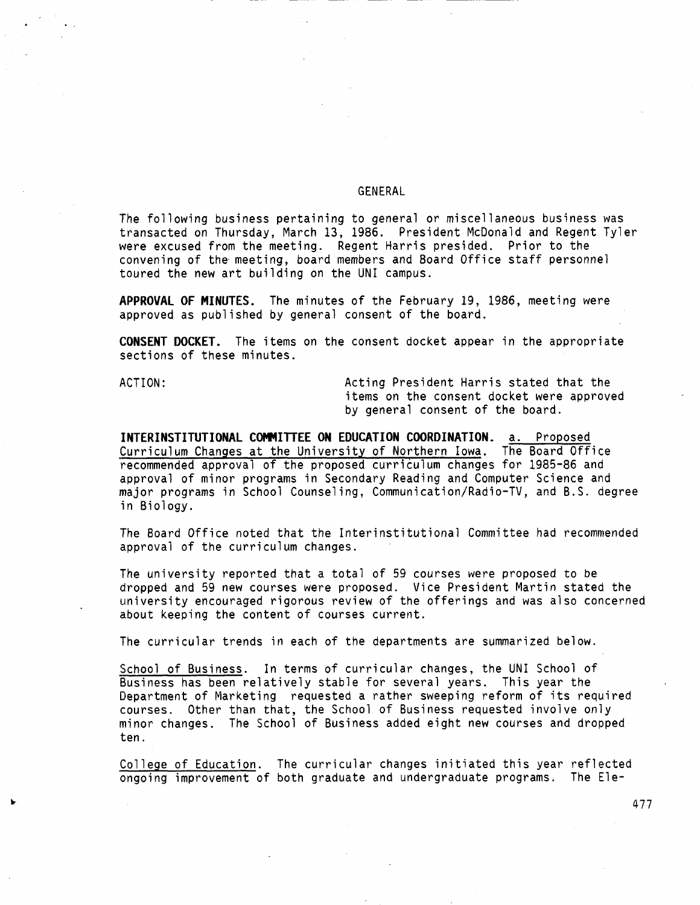## **GENERAL**

The following business pertaining to general or miscellaneous business was transacted on Thursday, March 13, 1986. President McDonald and Regent Tyler were excused from the meeting. Regent Harris presided. Prior to the convening of the· meeting, board members and Board Office staff personnel toured the new art building on the UNI campus.

**APPROVAL OF MINUTES.** The minutes of the February 19, 1986, meeting were approved as published by general consent of the board.

**CONSENT DOCKET.** The items on the consent docket appear in the appropriate sections of these minutes.

ACTION: Acting President Harris stated that the items on the consent docket were approved by general consent of the board.

**INTERINSTITUTIONAL COMMITTEE ON EDUCATION COORDINATION.** a. Proposed Curriculum Changes at the University of Northern Iowa. The Board Office recommended approval of the proposed curriculum changes for 1985-86 and approval of minor programs in Secondary Reading and Computer Science and major programs in School Counseling, Communication/Radio-TV, and B.S. degree in Biology.

The Board Office noted that the Interinstitutional Committee had recommended approval of the curriculum changes.

The university reported that a total of 59 courses were proposed to be dropped and 59 new courses were proposed. Vice President Martin stated the university encouraged rigorous review of the offerings and was also concerned about keeping the content of courses current.

The curricular trends in each of the departments are summarized below.

School of Business. In terms of curricular changes, the UNI School of Business has been relatively stable for several years. This year the Department of Marketing requested a rather sweeping reform of its required courses. Other than that, the School of Business requested involve only minor changes. The School of Business added eight new courses and dropped ten.

College of Education. The curricular changes initiated this year reflected ongoing improvement of both graduate and undergraduate programs. The Ele-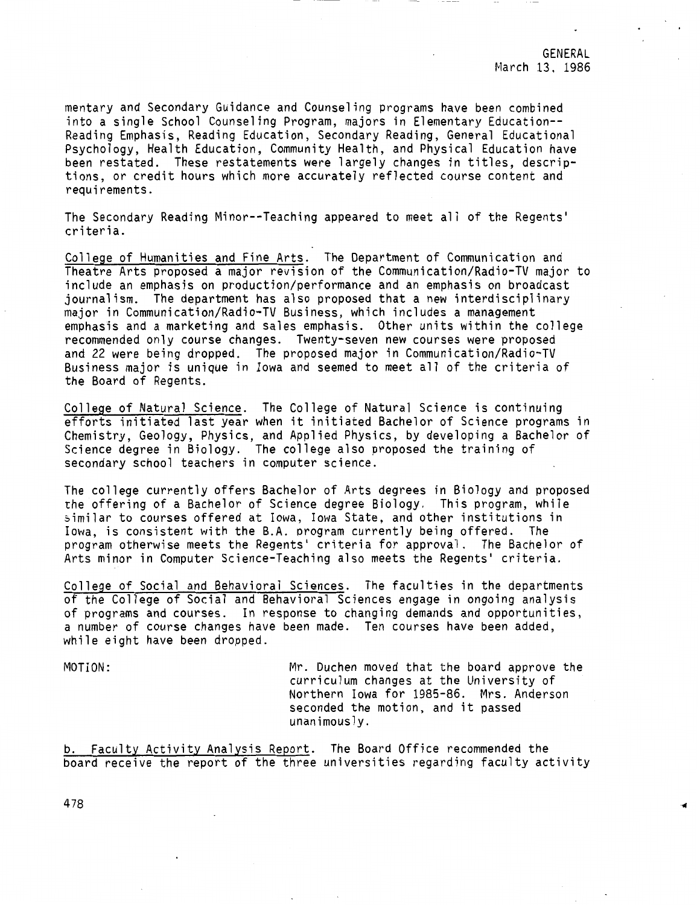mentary and Secondary Guidance and Counseling programs have been combined into a single School Counseling Program, majors in Elementary Education-- Reading Emphasis, Reading Education, Secondary Reading, General Educational Psychology, Health Education, Community Health, and Physical Education have been restated. These restatements were largely changes in titles, descriptions, or credit hours which more accurately reflected course content and requirements.

The Secondary Reading Minor--Teaching appeared to meet all of the Regents' criteria.

College of Humanities and Fine Arts. The Department of Communication and Theatre Arts proposed a major revision of the Communication/Radio-TV major to include an emphasis on production/performance and an emphasis on broadcast journalism. The department has also proposed that a new interdisciplinary major in Communication/Radio-TV Business, which includes a management emphasis and a marketing and sales emphasis. Other units within the college recommended only course changes. Twenty-seven new courses were proposed and 22 were being dropped. The proposed major in Communication/Radio-TV Business major is unique in Iowa and seemed to meet all of the criteria of the Board of Regents.

College of Natural Science. The College of Natural Science is continuing efforts initiated last year when it initiated Bachelor of Science programs in Chemistry, Geology, Physics, and Applied Physics, by developing a Bachelor of Science degree in Biology. The college also proposed the training of secondary school teachers in computer science.

The college currently offers Bachelor of Arts degrees in Biology and proposed the offering of a Bachelor of Science degree Biology. This program, while similar to courses offered at Iowa, Iowa State, and other institutions in Iowa, is consistent with the B.A. program currently being offered. The program otherwise meets the Regents' criteria for approval. The Bachelor of Arts minor in Computer Science-Teaching also meets the Regents' criteria.

College of Social and Behavioral Sciences. The faculties in the departments of the College of Social and Behavioral Sciences engage in ongoing analysis of programs and courses. In response to changing demands and opportunities, a number of course changes have been made. Ten courses have been added, while eight have been dropped.

MOTION: Mr. Duchen moved that the board approve the curriculum changes at the University of Northern Iowa for 1985-86. Mrs. Anderson seconded the motion, and it passed unanimously.

b. Faculty Activity Analysis Report. The Board Office recommended the board receive the report of the three universities regarding faculty activity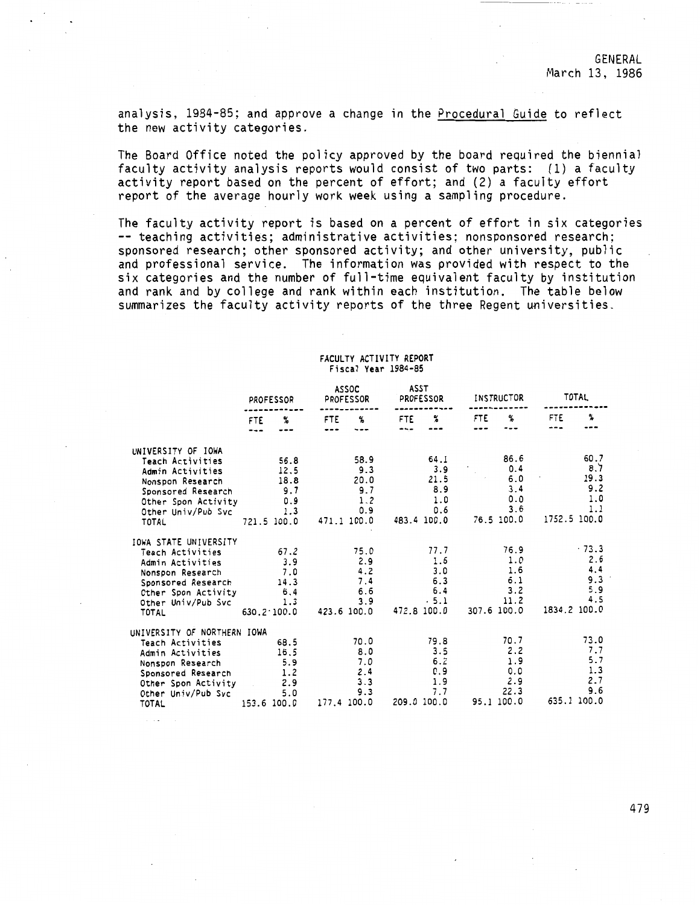analysis, 1984-85; and approve a change in the Procedural Guide to reflect the new activity categories.

The Board Office noted the policy approved by the board required the biennial faculty activity analysis reports would consist of two parts: (1) a faculty activity report based on the percent of effort; and (2) a faculty effort report of the average hourly work week using a sampling procedure.

The faculty activity report is based on a percent of effort in six categories -- teaching activities; administrative activities; nonsponsored research; sponsored research; other sponsored activity; and other university, public and professional service. The information was provided with respect to the six categories and the number of full-time equivalent faculty by institution and rank and by college and rank within each institution. The table below summarizes the faculty activity reports of the three Regent universities.

#### **FACULTY ACTIVITY REPORT**  Fi **seal Year 1984-85**

|                             | PROFESSOR  |                     |            | <b>ASSOC</b><br>PROFESSOR | ASST        | PROFESSOR   | INSTRUCTOR |             |              | TOTAL       |  |
|-----------------------------|------------|---------------------|------------|---------------------------|-------------|-------------|------------|-------------|--------------|-------------|--|
|                             | FTE<br>--- | %                   | FTE<br>--- | ℁<br>---                  | FTE<br>---  | ℁           | FTE        | ℁           | <b>FTE</b>   | ፟፟፟፟        |  |
| UNIVERSITY OF IOWA          |            |                     |            |                           |             |             |            |             |              |             |  |
| Teach Activities            |            | 56.8                |            | 58.9                      |             | 64.1        |            | 86.6        |              | 60.7        |  |
| Admin Activities            |            | 12.5                |            | 9.3                       |             | 3.9         |            | 0.4         |              | 8.7         |  |
| Nonspon Research            |            | 18.8                |            | 20.0                      |             | 21.5        |            | 6.0         |              | 19.3        |  |
| Sponsored Research          |            | 9.7                 |            | 9.7                       |             | 8.9         |            | 3.4         |              | 9.2         |  |
| Other Spon Activity         |            | 0.9                 |            | 1.2                       |             | 1.0         |            | 0.0         |              | 1.0<br>1.1  |  |
| Other Univ/Pub Svc          |            | 1.3                 |            | 0.9                       |             | 0.6         |            | 3.6         | 1752.5 100.0 |             |  |
| TOTAL                       |            | 721.5 100.0         |            | 471.1 100.0               |             | 483.4 100.0 |            | 76.5 100.0  |              |             |  |
| IOWA STATE UNIVERSITY       |            |                     |            |                           |             |             |            |             |              |             |  |
| Teach Activities            |            | 67.2                |            | 75.0                      |             | 77.7        |            | 76.9        |              | $-73.3$     |  |
| Admin Activities            |            | 3.9                 |            | 2.9                       |             | 1.6         |            | 1.0         |              | 2.6         |  |
| Nonspon Research            |            | 7.0                 |            | 4.2                       |             | 3.0         |            | 1.6         |              | 4.4         |  |
| Sponsored Research          |            | 14.3                |            | 7.4                       |             | 6.3         |            | 6.1         |              | 9.3         |  |
| Other Spon Activity         |            | 6.4                 |            | 6.6                       |             | 6.4         |            | 3.2         |              | 5.9         |  |
| Other Univ/Pub Svc          |            | 1.3                 |            | 3.9                       |             | $-5.1$      |            | 11.2        |              | 4.5         |  |
| TOTAL                       |            | $630.2 \cdot 100.0$ |            | 423.6 100.0               | 472.8 100.0 |             |            | 307.6 100.0 | 1834.2 100.0 |             |  |
| UNIVERSITY OF NORTHERN IOWA |            |                     |            |                           |             |             |            |             |              |             |  |
| Teach Activities            |            | 68.5                |            | 70.0                      |             | 79.8        |            | 70.7        |              | 73.0        |  |
| Admin Activities            |            | 16.5                |            | 8.0                       |             | 3.5         |            | 2.2         |              | 7.7         |  |
| Nonspon Research            |            | 5.9                 |            | 7.0                       |             | 6.2         |            | 1.9         |              | 5.7         |  |
| Sponsored Research          |            | 1.2                 |            | 2.4                       |             | 0.9         |            | 0.0         |              | 1.3         |  |
| Other Spon Activity         |            | 2.9                 |            | 3.3                       |             | 1.9         |            | 2.9         |              | 2.7         |  |
| Other Univ/Pub Svc          |            | 5.0                 |            | 9.3                       |             | 7.7         |            | 22.3        |              | 9.6         |  |
| <b>TOTAL</b>                |            | 153.6 100.0         |            | 177.4 100.0               | 209.0 100.0 |             |            | 95.1 100.0  |              | 635.1 100.0 |  |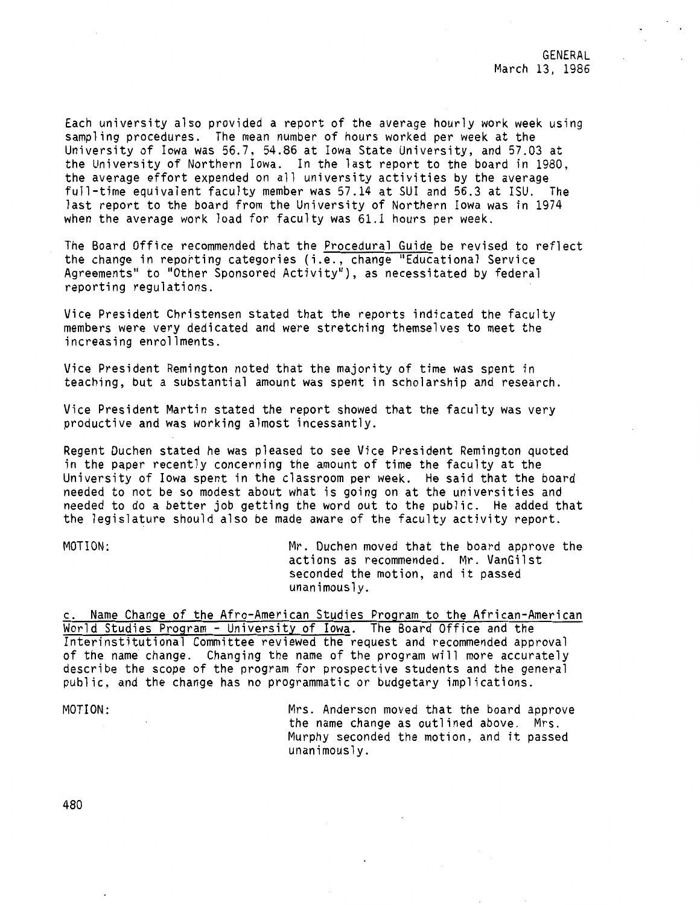Each university also provided a report of the average hourly work week using sampling procedures. The mean number of hours worked per week at the University of Iowa was 56.7, 54.86 at Iowa State University, and 57.03 at the University of Northern Iowa. In the last report to the board in 1980, the average effort expended on all university activities by the average full-time equivalent faculty member was 57.14 at SUI and 56.3 at ISU. The last report to the board from the University of Northern Iowa was in 1974 when the average work load for faculty was 61.1 hours per week.

The Board Office recommended that the Procedural Guide be revised to reflect the change in reporting categories (i.e., change "Educational Service Agreements" to "Other Sponsored Activity"), as necessitated by federal reporting regulations.

Vice President Christensen stated that the reports indicated the faculty members were very dedicated and were stretching themselves to meet the increasing enrollments.

Vice President Remington noted that the majority of time was spent in teaching, but a substantial amount was spent in scholarship and research.

Vice President Martin stated the report showed that the faculty was very productive and was working almost incessantly.

Regent Duchen stated he was pleased to see Vice President Remington quoted in the paper recently concerning the amount of time the faculty at the University of Iowa spent in the classroom per week. He said that the board needed to not be so modest about what is going on at the universities and needed to do a better job getting the word out to the public. He added that the legislature should also be made aware of the faculty activity report.

MOTION: Mr. Duchen moved that the board approve the actions as recommended. Mr. VanGilst seconded the motion, and it passed unanimously.

c. Name Change of the Afro-American Studies Program to the African-American World Studies Program - University of Iowa. The Board Office and the Interinstitutional Committee reviewed the request and recommended approval of the name change. Changing the name of the program will more accurately describe the scope of the program for prospective students and the general public, and the change has no programmatic or budgetary implications.

MOTION:

Mrs. Anderson moved that the board approve the name change as outlined above. Mrs. Murphy seconded the motion, and it passed unanimously.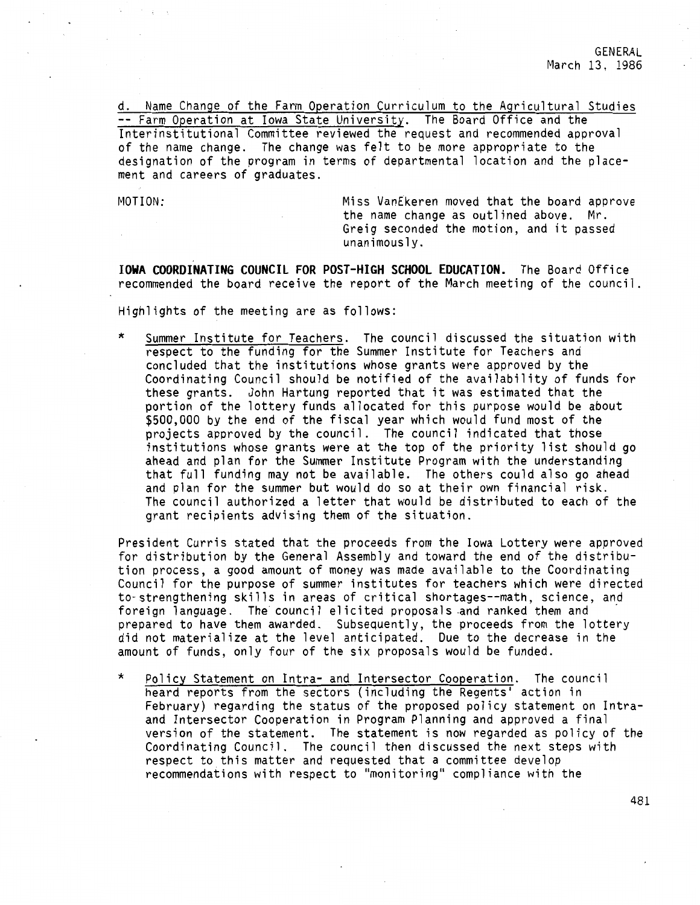d. Name Change of the Farm Operation Curriculum to the Agricultural Studies Farm Operation at Iowa State University. The Board Office and the Interinstitutional Committee reviewed the request and recommended approval of the name change. The change was felt to be more appropriate to the designation of the program in terms of departmental location and the placement and careers of graduates.

MOTION: Miss VanEkeren moved that the board approve the name change as outlined above. Mr. Greig seconded the motion, and it passed unanimously.

**IOWA COORDINATING COUNCIL FOR POST-HIGH SCHOOL EDUCATION.** The Board Office recommended the board receive the report of the March meeting of the council.

Highlights of the meeting are as follows:

Summer Institute for Teachers. The council discussed the situation with respect to the funding for the Summer Institute for Teachers and concluded that the institutions whose grants were approved by the Coordinating Council should be notified of the availability of funds for these grants. John Hartung reported that it was estimated that the portion of the lottery funds allocated for this purpose would be about \$500,000 by the end of the fiscal year which would fund most of the projects approved by the council. The council indicated that those institutions whose grants were at the top of the priority list should go ahead and plan for the Summer Institute Program with the understanding that full funding may not be available. The others could also go ahead and plan for the summer but would do so at their own financial risk. The council authorized a letter that would be distributed to each of the grant recipients advising them of the situation.

President Curris stated that the proceeds from the Iowa Lottery were approved for distribution by the General Assembly and toward the end of the distribution process, a good amount of money was made available to the Coordinating Council for the purpose of summer institutes for teachers which were directed to-strengthening skills in areas of critical shortages--math, science, and<br>foreign language. The council elicited proposals and ranked them and prepared to have them awarded. Subsequently, the proceeds from the lottery did not materialize at the level anticipated. Due to the decrease in the amount of funds, only four of the six proposals would be funded.

Policy Statement on Intra- and Intersector Cooperation. The council heard reports from the sectors (including the Regents' action in February) regarding the status of the proposed policy statement on Intraand lntersector Cooperation in Program Planning and approved a final version of the statement. The statement is now regarded as policy of the Coordinating Council. The council then discussed the next steps with respect to this matter and requested that a committee develop recommendations with respect to "monitoring" compliance with the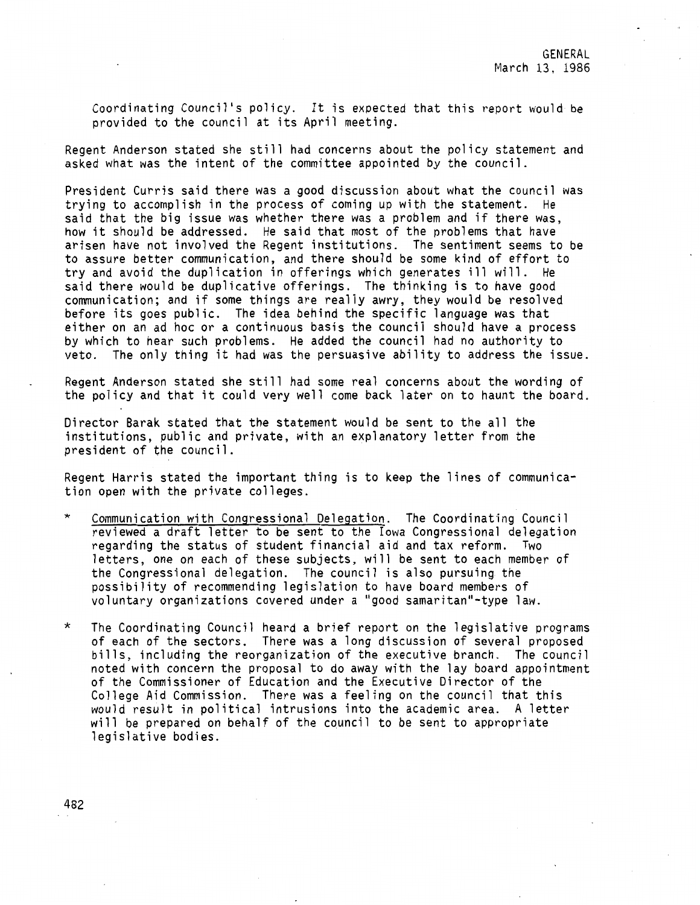Coordinating Council's policy. It is expected that this report would be provided to the council at its April meeting.

Regent Anderson stated she still had concerns about the policy statement and asked what was the intent of the committee appointed by the council.

President Curris said there was a good discussion about what the council was trying to accomplish in the process of coming up with the statement. He said that the big issue was whether there was a problem and if there was, how it should be addressed. He said that most of the problems that have arisen have not involved the Regent institutions. The sentiment seems to be to assure better communication, and there should be some kind of effort to try and avoid the duplication in offerings which generates ill will. He said there would be duplicative offerings. The thinking is to have good communication; and if some things are really awry, they would be resolved before its goes public. The idea behind the specific language was that either on an ad hoc or a continuous basis the council should have a process by which to hear such problems. He added the council had no authority to veto. The only thing it had was the persuasive ability to address the issue.

Regent Anderson stated she still had some real concerns about the wording of the policy and that it could very well come back later on to haunt the board.

Director Barak stated that the statement would be sent to the all the institutions, public and private, with an explanatory letter from the president of the council.

Regent Harris stated the important thing is to keep the lines of communication open with the private colleges.

- \* Communication with Congressional Delegation. The Coordinating Council reviewed a draft letter to be sent to the Iowa Congressional delegation regarding the status of student financial aid and tax reform. Two letters, one on each of these subjects, will be sent to each member of the Congressional delegation. The council is also pursuing the possibility of recommending legislation to have board members of voluntary organizations covered under a "good samaritan"-type law.
- \* The Coordinating Council heard a brief report on the legislative programs of each of the sectors. There was a long discussion of several proposed bills, including the reorganization of the executive branch. The council noted with concern the proposal to do away with the lay board appointment of the Commissioner of Education and the Executive Director of the College Aid Commission. There was a feeling on the council that this would result in political intrusions into the academic area. A letter will be prepared on behalf of the council to be sent to appropriate legislative bodies.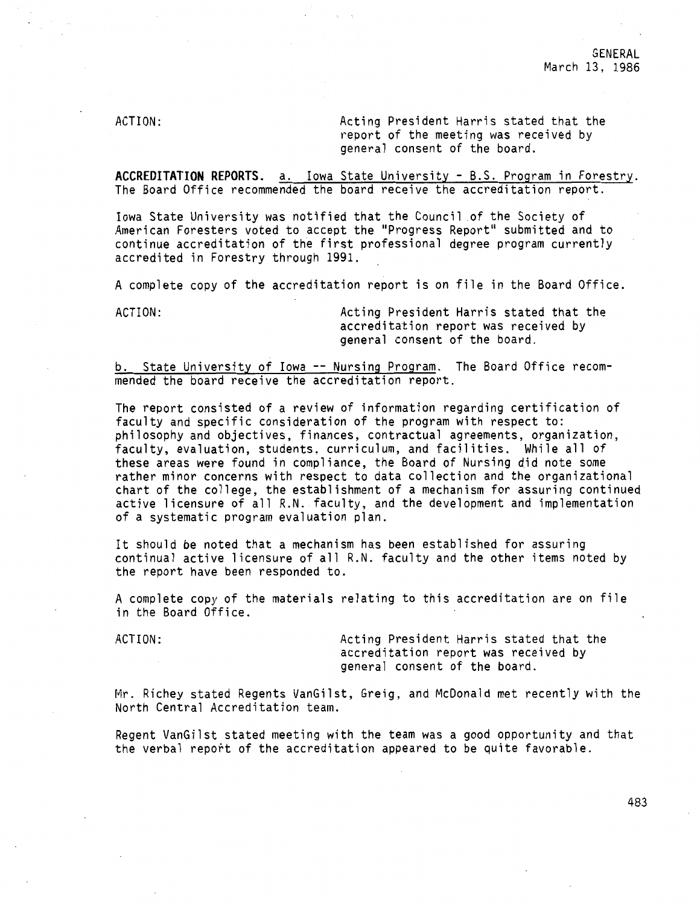ACTION: Acting President Harris stated that the report of the meeting was received by general consent of the board.

**ACCREDITATION REPORTS.** a. Iowa State University - B.S. Program in Forestry. The Board Office recommended the board receive the accreditation report.

Iowa State University was notified that the Council of the Society of American Foresters voted to accept the "Progress Report" submitted and to continue accreditation of the first professional degree program currently accredited in Forestry through 1991.

A complete copy of the accreditation report is on file in the Board Office.

ACTION: Acting President Harris stated that the accreditation report was received by general consent of the board.

b. State University of Iowa -- Nursing Program. The Board Office recommended the board receive the accreditation report.

The report consisted of a review of information regarding certification of faculty and specific consideration of the program with respect to: philosophy and objectives, finances, contractual agreements, organization, faculty, evaluation, students, curriculum, and facilities. While all of these areas were found in compliance, the Board of Nursing did note some rather minor concerns with respect to data collection and the organizational chart of the college, the establishment of a mechanism for assuring continued active licensure of all R.N. faculty, and the development and implementation of a systematic program evaluation plan.

It should be noted that a mechanism has been established for assuring continual active licensure of all R.N. faculty and the other items noted by the report have been responded to.

A complete copy of the materials relating to this accreditation are on file in the Board Office.

ACTION: Acting President Harris stated that the accreditation report was received by general consent of the board.

Mr. Richey stated Regents VanGilst, Greig, and McDonald met recently with the North Central Accreditation team.

Regent VanGilst stated meeting with the team was a good opportunity and that the verbal report of the accreditation appeared to be quite favorable.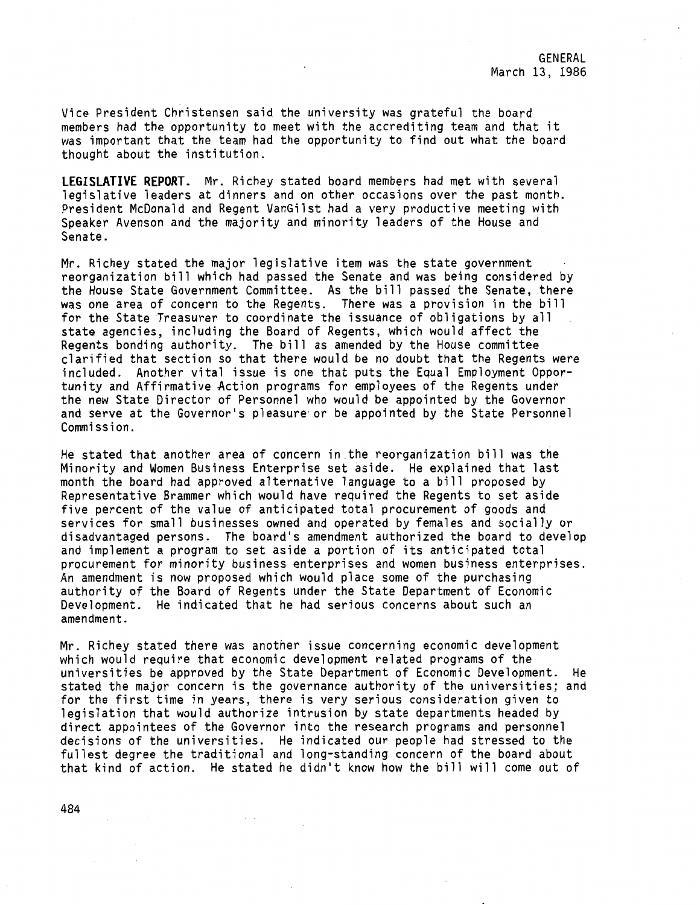Vice President Christensen said the university was grateful the board members had the opportunity to meet with the accrediting team and that it was important that the team had the opportunity to find out what the board thought about the institution.

**LEGISLATIVE REPORT.** Mr. Richey stated board members had met with several legislative leaders at dinners and on other occasions over the past month. President McDonald and Regent VanGilst had a very productive meeting with Speaker Avenson and the majority and minority leaders of the House and Senate.

Mr. Richey stated the major legislative item was the state government reorganization bill which had passed the Senate and was being considered by the House State Government Committee. As the bill passed the Senate, there was one area of concern to the Regents. There was a provision in the bill for the State Treasurer to coordinate the issuance of obligations by all state agencies, including the Board of Regents, which would affect the Regents bonding authority. The bill as amended by the House committee clarified that section so that there would be no doubt that the Regents were included. Another vital issue is one that puts the Equal Employment Opportunity and Affirmative Action programs for employees of the Regents under the new State Director of Personnel who would be appointed by the Governor and serve at the Governor's pleasure or be appointed by the State Personnel Commission.

He stated that another area of concern in.the reorganization bill was the Minority and Women Business Enterprise set aside. He explained that last month the board had approved alternative language to a bill proposed by Representative Brammer which would have required the Regents to set aside five percent of the value of anticipated total procurement of goods and services for small businesses owned and operated by females and socially or disadvantaged persons. The board's amendment authorized the board to develop and implement a program to set aside a portion of its anticipated total procurement for minority business enterprises and women business enterprises. An amendment is now proposed which would place some of the purchasing authority of the Board of Regents under the State Department of Economic Development. He indicated that he had serious concerns about such an amendment.

Mr. Richey stated there was another issue concerning economic development which would require that economic development related programs of the universities be approved by the State Department of Economic Development. He stated the major concern is the governance authority of the universities; and for the first time in years, there is very serious consideration given to legislation that would authorize intrusion by state departments headed by direct appointees of the Governor into the research programs and personnel decisions of the universities. He indicated our people had stressed to the fullest degree the traditional and long-standing concern of the board about that kind of action. He stated he didn't know how the bill will come out of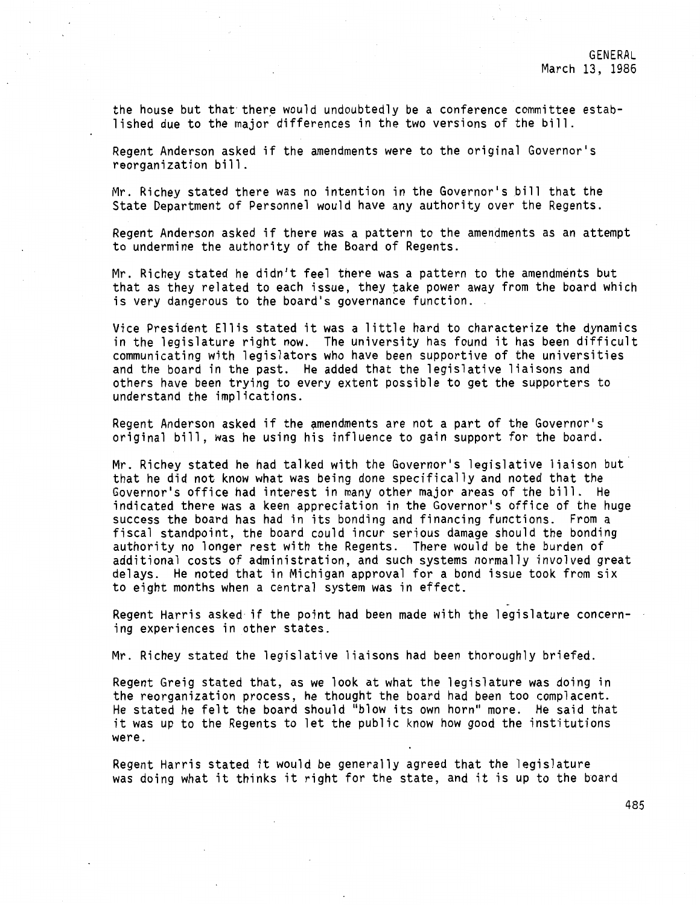the house but that there would undoubtedly be a conference committee established due to the major differences in the two versions of the bill.

Regent Anderson asked if the amendments were to the original Governor's reorganization bill.

Mr. Richey stated there was no intention in the Governor's bill that the State Department of Personnel would have any authority over the Regents.

Regent Anderson asked if there was a pattern to the amendments as an attempt to undermine the authority of the Board of Regents.

Mr. Richey stated he didn't feel there was a pattern to the amendments but that as they related to each issue, they take power away from the board which is very dangerous to the board's governance function.

Vice President Ellis stated it was a little hard to characterize the dynamics in the legislature right now. The university has found it has been difficult communicating with legislators who have been supportive of the universities and the board in the past. He added that the legislative liaisons and others have been trying to every extent possible to get the supporters to understand the implications.

Regent Anderson asked if the amendments are not a part of the Governor's original bill, was he using his influence to gain support for the board.

Mr. Richey stated he had talked with the Governor's legislative liaison but that he did not know what was being done specifically and noted that the Governor's office had interest in many other major areas of the bill. He indicated there was a keen appreciation in the Governor's office of the huge success the board has had in its bonding and financing functions. From a fiscal standpoint, the board could incur serious damage should the bonding authority no longer rest with the Regents. There would be the burden of additional costs of administration, and such systems normally involved great delays. He noted that in Michigan approval for a bond issue took from six to eight months when a central system was in effect.

Regent Harris asked if the point had been made with the legislature concerning experiences in other states.

Mr. Richey stated the legislative liaisons had been thoroughly briefed.

Regent Greig stated that, as we look at what the legislature was doing in the reorganization process, he thought the board had been too complacent. He stated he felt the board should "blow its own horn" more. He said that it was up to the Regents to let the public know how good the institutions were.

Regent Harris stated it would be generally agreed that the legislature was doing what it thinks it right for the state, and it is up to the board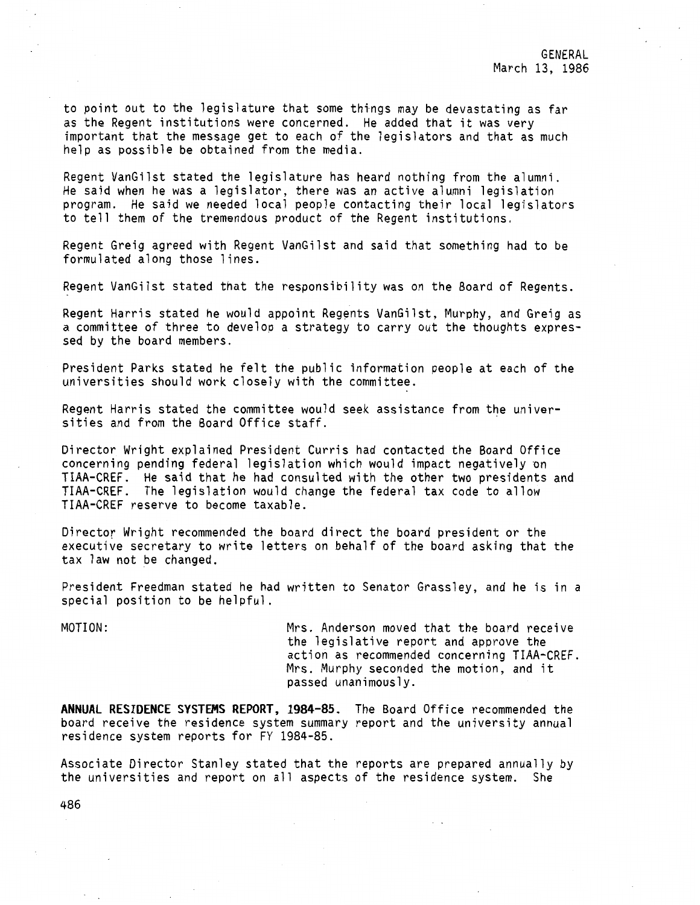to point out to the legislature that some things may be devastating as far as the Regent institutions were concerned. He added that it was very important that the message get to each of the legislators and that as much help as possible be obtained from the media.

Regent VanGilst stated the legislature has heard nothing from the alumni. He said when he was a legislator, there was an active alumni legislation program. He said we needed local people contacting their local legislators to tell them of the tremendous product of the Regent institutions.

Regent Greig agreed with Regent VanGilst and said that something had to be formulated along those lines.

Regent VanGilst stated that the responsibility was on the Board of Regents.

Regent Harris stated he would appoint Regents VanGilst, Murphy, and Greig as a committee of three to develop a strategy to carry out the thoughts expressed by the board members.

President Parks stated he felt the public information people at each of the universities should work closely with the committee.

Regent Harris stated the committee would seek assistance from the universities and from the Board Office staff.

Director Wright explained President Curris had contacted the Board Office concerning pending federal legislation which would impact negatively on TIAA-CREF. He said that he had consulted with the other two presidents and TIAA-CREF. The legislation would change the federal tax code to allow TIAA-CREF reserve to become taxable.

Director Wright recommended the board direct the board president or the executive secretary to write letters on behalf of the board asking that the tax law not be changed.

President Freedman stated he had written to Senator Grassley, and he is in a special position to be helpful.

MOTION: Mrs. Anderson moved that the board receive the legislative report and approve the action as recommended concerning TIAA-CREF. Mrs. Murphy seconded the motion, and it passed unanimously.

**ANNUAL RESIDENCE SYSTEMS REPORT, 1984-85.** The Board Office recommended the board receive the residence system summary report and the university annual residence system reports for FY 1984-85.

Associate Director Stanley stated that the reports are prepared annually by the universities and report on all aspects of the residence system. She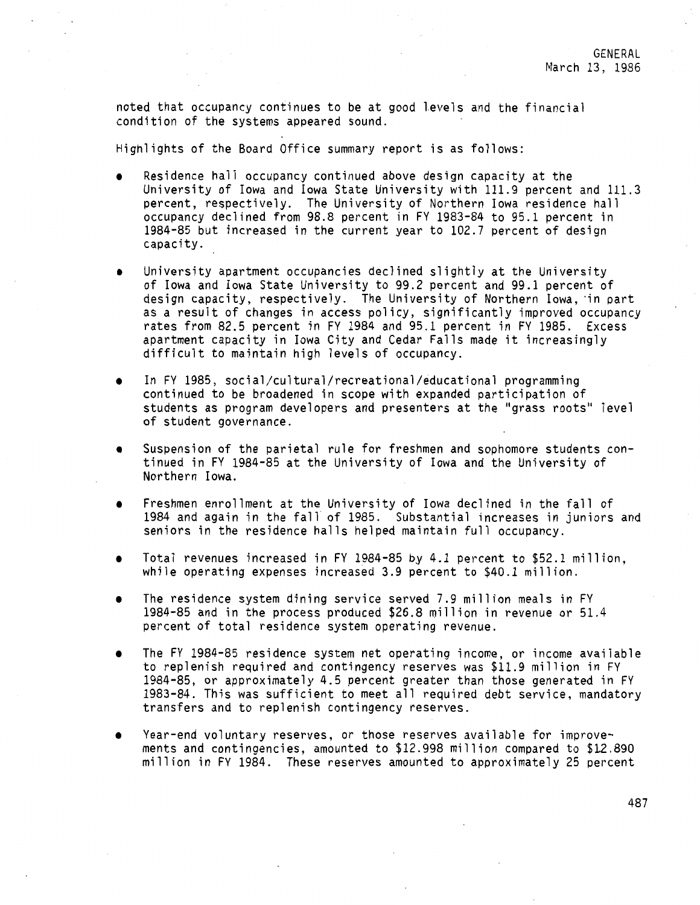noted that occupancy continues to be at good levels and the financial condition of the systems appeared sound.

Highlights of the Board Office summary report is as follows:

- Residence hall occupancy continued above design capacity at the University of Iowa and Iowa State University with 111.9 percent and 111.3 percent, respectively. The University of Northern Iowa residence hall occupancy declined from 98.8 percent in FY 1983-84 to 95.1 percent in 1984-85 but increased in the current year to 102.7 percent of design capacity.
- University apartment occupancies declined slightly at the University of Iowa and Iowa State University to 99.2 percent and 99.1 percent of design capacity, respectively. The University of Northern Iowa, in part as a result of changes in access policy, significantly improved occupancy rates from 82.5 percent in FY 1984 and 95.1 percent in FY 1985. Excess apartment capacity in Iowa City and Cedar Falls made it increasingly difficult to maintain high levels of occupancy.
- In FY 1985, social/cultural/recreational/educational programming continued to be broadened in scope with expanded participation of students as program developers and presenters at the "grass roots" level of student governance.
- Suspension of the parietal rule for freshmen and sophomore students continued in FY 1984-85 at the University of Iowa and the University of Northern Iowa.
- Freshmen enrollment at the University of Iowa declined in the fall of 1984 and again in the fall of 1985. Substantial increases in juniors and seniors in the residence halls helped maintain full occupancy.
- Total revenues increased in FY 1984-85 *by* 4.1 percent to \$52.1 million, while operating expenses increased 3.9 percent to \$40.1 million.
- The residence system dining service served 7.9 million meals in FY 1984-85 and in the process produced \$26.8 million in revenue or 51.4 percent of total residence system operating revenue.
- The FY 1984-85 residence system net operating income, or income available to replenish required and contingency reserves was \$11.9 million in FY 1984-85, or approximately 4.5 percent greater than those generated in FY 1983-84. This was sufficient to meet all required debt service, mandatory transfers and to replenish contingency reserves.
- Year-end voluntary reserves, or those reserves available for improvements and contingencies, amounted to \$12.998 million compared to \$12.890 million in FY 1984. These reserves amounted to approximately 25 percent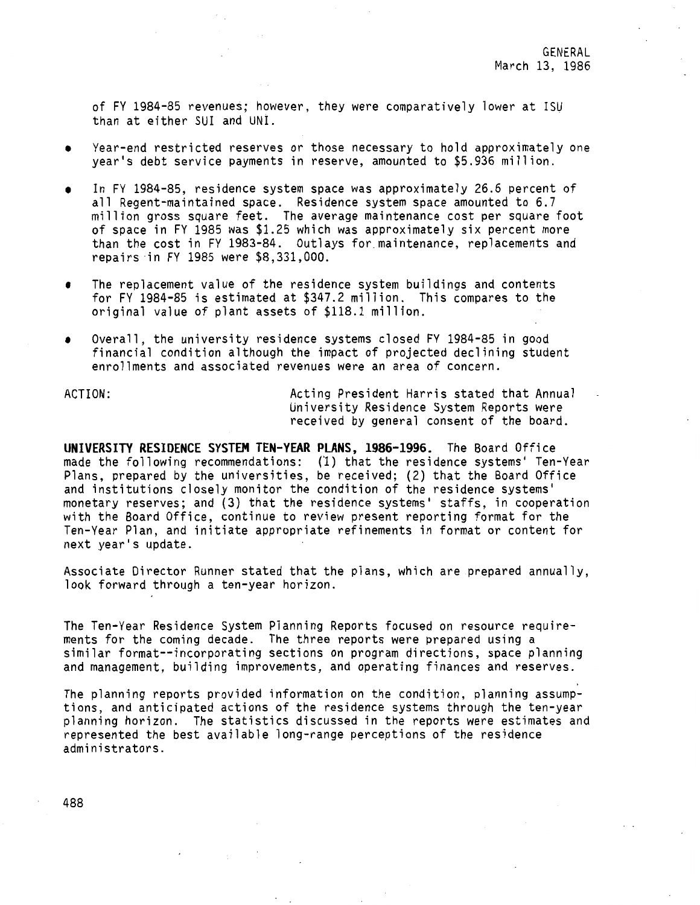of FY 1984-85 revenues; however, they were comparatively lower at !SU than at either SUI and UNI.

- Year-end restricted reserves or those necessary to hold approximately one year's debt service payments in reserve, amounted to \$5.936 million.
- In FY 1984-85, residence system space was approximately 26.6 percent of all Regent-maintained space. Residence system space amounted to 6.7 million gross square feet. The average maintenance cost per square foot of space in FY 1985 was \$1.25 which was approximately six percent more than the cost in FY 1983-84. Outlays for.maintenance, replacements and repairs in FY 1985 were \$8,331,000.
- The replacement value of the residence system buildings and contents for FY 1984-85 is estimated at \$347.2 million. This compares to the original value of plant assets of \$118.1 million.
- Overall, the university residence systems closed FY 1984-85 in good financial condition although the impact of projected declining student enrollments and associated revenues were an area of concern.

ACTION: Acting President Harris stated that Annual University Residence System Reports were received by general consent of the board.

**UNIVERSITY RESIDENCE SYSTEM TEN-VEAR PLANS, 1986-1996.** The Board Office made the following recommendations: (1) that the residence systems' Ten-Year Plans, prepared by the universities, be received; (2) that the Board Office and institutions closely monitor the condition of the residence systems' monetary reserves; and (3) that the residence systems' staffs, in cooperation with the Board Office, continue to review present reporting format for the Ten-Year Plan, and initiate appropriate refinements in format or content for next year's update.

Associate Director Runner stated that the plans, which are prepared annually, look forward through a ten-year horizon.

The Ten-Year Residence System Planning Reports focused on resource requirements for the coming decade. The three reports were prepared using a similar format--incorporating sections on program directions, space planning and management, building improvements, and operating finances and reserves.

The planning reports provided information on the condition, planning assumptions, and anticipated actions of the residence systems through the ten-year planning horizon. The statistics discussed in the reports were estimates and represented the best available long-range perceptions of the residence administrators.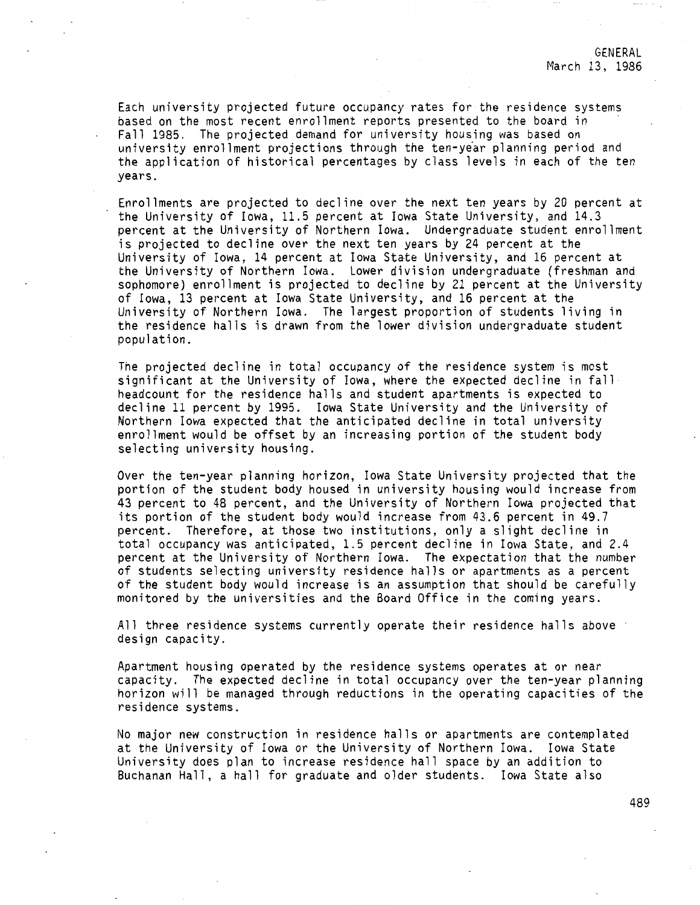Each university projected future occupancy rates for the residence systems based on the most recent enrollment reports presented to the board in Fall 1985. The projected demand for university housing was based on university enrollment projections through the ten-year planning period and the application of historical percentages by class levels in each of the ten years.

Enrollments are projected to decline over the next ten years by 20 percent at the University of Iowa, 11.5 percent at Iowa State University, and 14.3 percent at the University of Northern Iowa. Undergraduate student enrollment is projected to decline over the next ten years by 24 percent at the University of Iowa, 14 percent at Iowa State University, and 16 percent at the University of Northern Iowa. Lower division undergraduate (freshman and sophomore) enrollment is projected to decline by 21 percent at the University of Iowa, 13 percent at Iowa State University, and 16 percent at the University of Northern Iowa. The largest proportion of students living in the residence halls is drawn from the lower division undergraduate student population.

The projected decline in total occupancy of the residence system is most significant at the University of Iowa, where the expected decline in fall headcount for the residence halls and student apartments is expected to decline 11 percent by 1995. Iowa State University and the University of Northern Iowa expected that the anticipated decline in total university enrollment would be offset by an increasing portion of the student body selecting university housing.

Over the ten-year planning horizon, Iowa State University projected that the portion of the student body housed in university housing would increase from 43 percent to 48 percent, and the University of Northern Iowa projected that its portion of the student body would increase from 43.6 percent in 49.7 percent. Therefore, at those two institutions, only a slight decline in total occupancy was anticipated, 1.5 percent decline in Iowa State, and 2.4 percent at the University of Northern Iowa. The expectation that the number of students selecting university residence halls or apartments as a percent of the student body would increase is an assumption that should be carefully monitored by the universities and the Board Office in the coming years.

All three residence systems currently operate their residence halls above design capacity.

Apartment housing operated by the residence systems operates at or near capacity. The expected decline in total occupancy over the ten-year planning horizon will be managed through reductions in the operating capacities of the residence systems.

No major new construction in residence halls or apartments are contemplated at the University of Iowa or the University of Northern Iowa. Iowa State University does plan to increase residence hall space by an addition to Buchanan Hall, a hall for graduate and older students. Iowa State also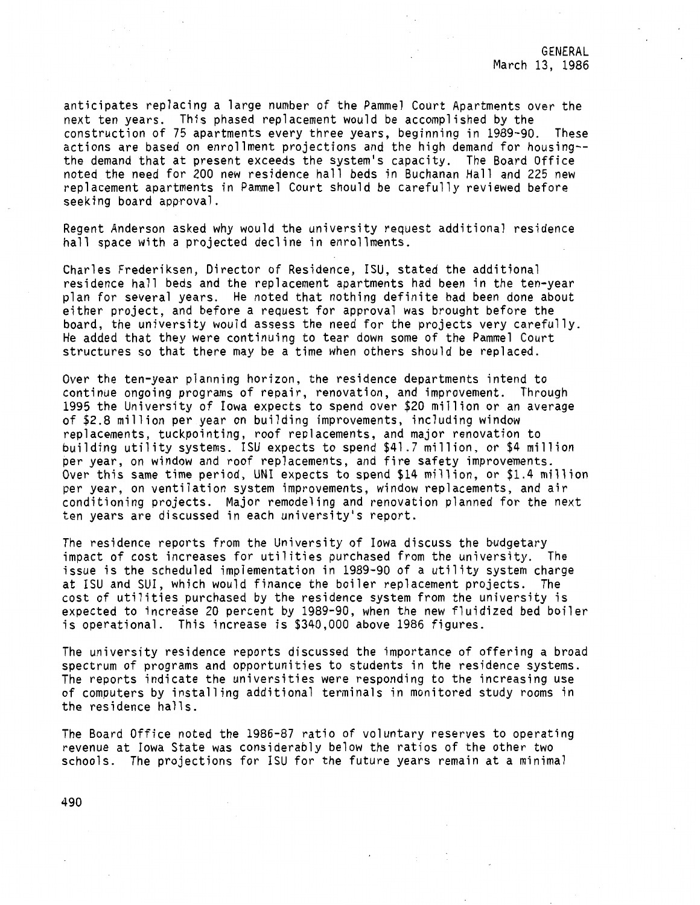GENERAL March 13, 1986

anticipates replacing a large number of the Pammel Court Apartments over the next ten years. This phased replacement would be accomplished by the construction of 75 apartments every three years, beginning in 1989-90. These actions are based on enrollment projections and the high demand for housing- the demand that at present exceeds the system's capacity. The Board Office noted the need for 200 new residence hall beds in Buchanan Hall and 225 new replacement apartments in Pammel Court should be carefully reviewed before seeking board approval.

Regent Anderson asked why would the university request additional residence hall space with a projected decline in enrollments.

Charles Frederiksen, Director of Residence, ISU, stated the additional residence hall beds and the replacement apartments had been in the ten-year plan for several years. He noted that nothing definite had been done about either project, and before a request for approval was brought before the board, the university would assess the need for the projects very carefully. He added that they were continuing to tear down some of the Pammel Court structures so that there may be a time when others should be replaced.

Over the ten-year planning horizon, the residence departments intend to continue ongoing programs of repair, renovation, and improvement. Through 1995 the University of Iowa expects to spend over \$20 million or an average of \$2.8 million per year on building improvements, including window replacements, tuckpointing, roof replacements, and major renovation to building utility systems. ISU expects to spend \$41.7 million, or \$4 million per year, on window and roof replacements, and fire safety improvements. Over this same time period, UNI expects to spend \$14 million, or \$1.4 million per year, on ventilation system improvements, window replacements, and air conditioning projects. Major remodeling and renovation planned for the next ten years are discussed in each university's report.

The residence reports from the University of Iowa discuss the budgetary impact of cost increases for utilities purchased from the university. The issue is the scheduled implementation in 1989-90 of a utility system charge at ISU and SUI, which would finance the boiler replacement projects. The cost of utilities purchased by the residence system from the university is expected to increase 20 percent by 1989-90, when the new fluidized bed boiler is operational. This increase is \$340,000 above 1986 figures.

The university residence reports discussed the importance of offering a broad spectrum of programs and opportunities to students in the residence systems. The reports indicate the universities were responding to the increasing use of computers by installing additional terminals in monitored study rooms in the residence halls.

The Board Office noted the 1986-87 ratio of voluntary reserves to operating revenue at Iowa State was considerably below the ratios of the other two schools. The projections for !SU for the future years remain at a minimal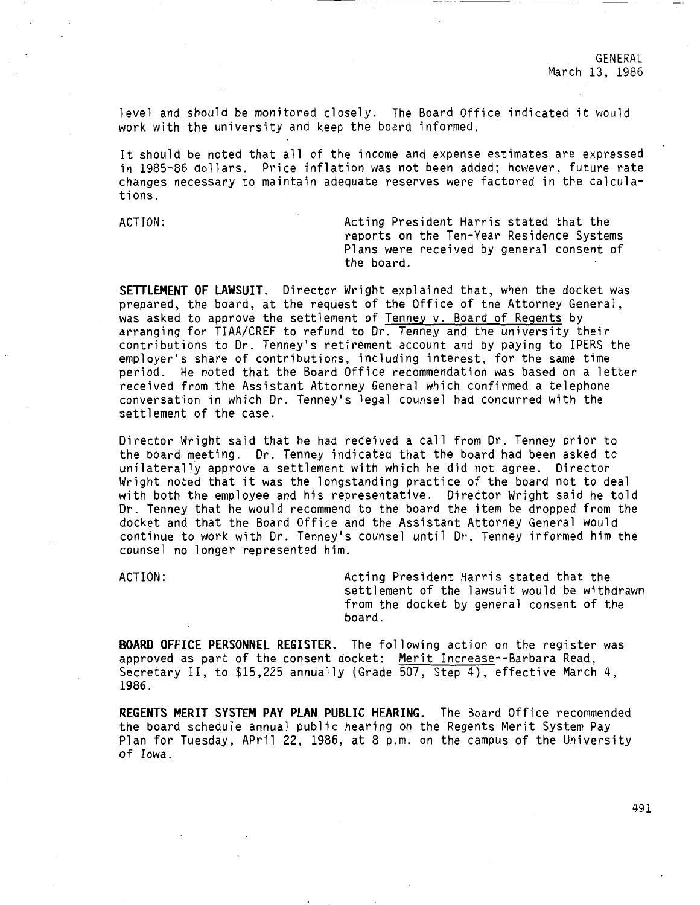level and should be monitored closely. The Board Office indicated it would work with the university and keep the board informed.

It should be noted that all of the income and expense estimates are expressed in 1985-86 dollars. Price inflation was not been added; however, future rate changes necessary to maintain adequate reserves were factored in the calculations.

ACTION: Acting President Harris stated that the reports on the Ten-Year Residence Systems Plans were received by general consent of the board.

**SETTLEMENT OF LAWSUIT.** Director Wright explained that, when the docket was prepared, the board, at the request of the Office of the Attorney General, was asked to approve the settlement of Tenney v. Board of Regents by arranging for TIAA/CREF to refund to Dr. Tenney and the university their contributions to Dr. Tenney's retirement account and by paying to !PERS the employer's share of contributions, including interest, for the same time period. He noted that the Board Office recommendation was based on a letter received from the Assistant Attorney General which confirmed a telephone conversation in which Dr. Tenney's legal counsel had concurred with the settlement of the case.

Director Wright said that he had received a call from Dr. Tenney prior to the board meeting. Dr. Tenney indicated that the board had been asked to unilaterally approve a settlement with which he did not agree. Director Wright noted that it was the longstanding practice of the board not to deal with both the employee and his representative. Director Wright said he told Dr. Tenney that he would recommend to the board the item be dropped from the docket and that the Board Office and the Assistant Attorney General would continue to work with Dr. Tenney's counsel until Dr. Tenney informed him the counsel no longer represented him.

ACTION: Acting President Harris stated that the settlement of the lawsuit would be withdrawn from the docket by general consent of the board.

**BOARD OFFICE PERSONNEL REGISTER.** The following action on the register was approved as part of the consent docket: Merit Increase--Barbara Read, Secretary II, to \$15,225 annually (Grade 507, Step 4), effective March 4, 1986.

**REGENTS MERIT SYSTEM PAY PLAN PUBLIC HEARING.** The Board Office recommended the board schedule annual public hearing on the Regents Merit System Pay Plan for Tuesday, APril 22, 1986, at 8 p.m. on the campus of the University of Iowa.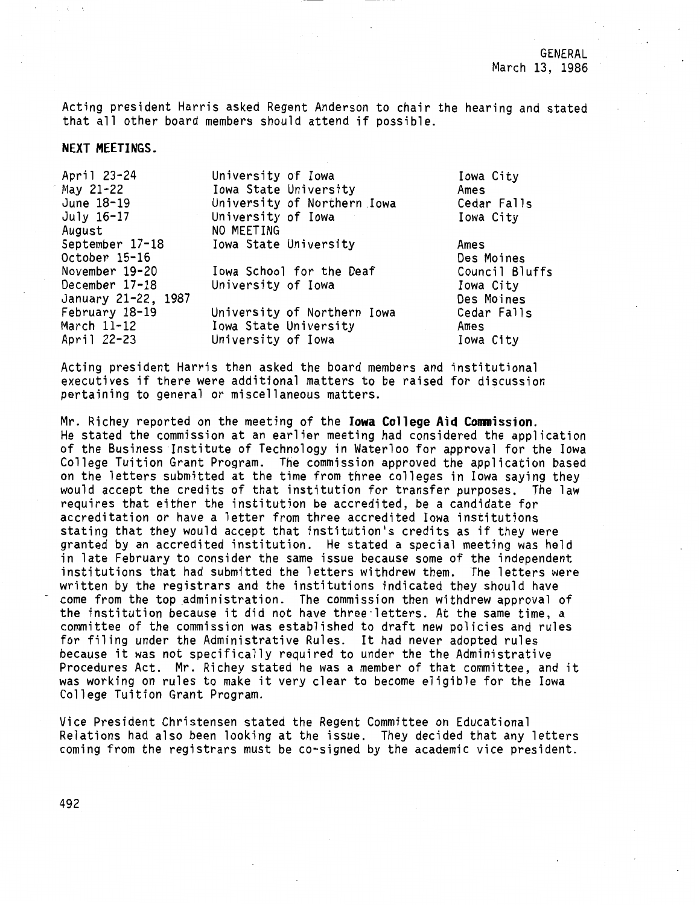Acting president Harris asked Regent Anderson to chair the hearing and stated that all other board members should attend if possible.

**NEXT MEETINGS.** 

| University of Iowa          | Iowa City      |
|-----------------------------|----------------|
| Iowa State University       | Ames           |
| University of Northern Iowa | Cedar Falls    |
| University of Iowa          | Iowa City      |
| NO MEETING                  |                |
| Iowa State University       | Ames           |
|                             | Des Moines     |
| Iowa School for the Deaf    | Council Bluffs |
| University of Iowa          | Iowa City      |
|                             | Des Moines     |
| University of Northern Iowa | Cedar Falls    |
| Iowa State University       | Ames           |
| University of Iowa          | Iowa City      |
|                             |                |

Acting president Harris then asked the board members and institutional executives if there were additional matters to be raised for discussion pertaining to general or miscellaneous matters.

Mr. Richey reported on the meeting of the **Iowa College Aid Conmission.**  He stated the commission at an earlier meeting had considered the application of the Business Institute of Technology in Waterloo for approval for the Iowa College Tuition Grant Program. The commission approved the application based on the letters submitted at the time from three colleges in Iowa saying they would accept the credits of that institution for transfer purposes. The law requires that either the institution be accredited, be a candidate for accreditation or have a letter from three accredited Iowa institutions stating that they would accept that institution's credits as if they were granted by an accredited institution. He stated a special meeting was held in late February to consider the same issue because some of the independent institutions that had submitted the letters withdrew them. The letters were<br>written by the registrars and the institutions indicated they should have come from the top administration. The commission then withdrew approval of the institution because it did not have three·letters. At the same time, a committee of the commission was established to draft new policies and rules for filing under the Administrative Rules. It had never adopted rules because it was not specifically required to under the the Administrative Procedures Act. Mr. Richey stated he was a member of that committee, and it was working on rules to make it very clear to become eligible for the Iowa College Tuition Grant Program.

Vice President Christensen stated the Regent Committee on Educational Relations had also been looking at the issue. They decided that any letters coming from the registrars must be co-signed by the academic vice president.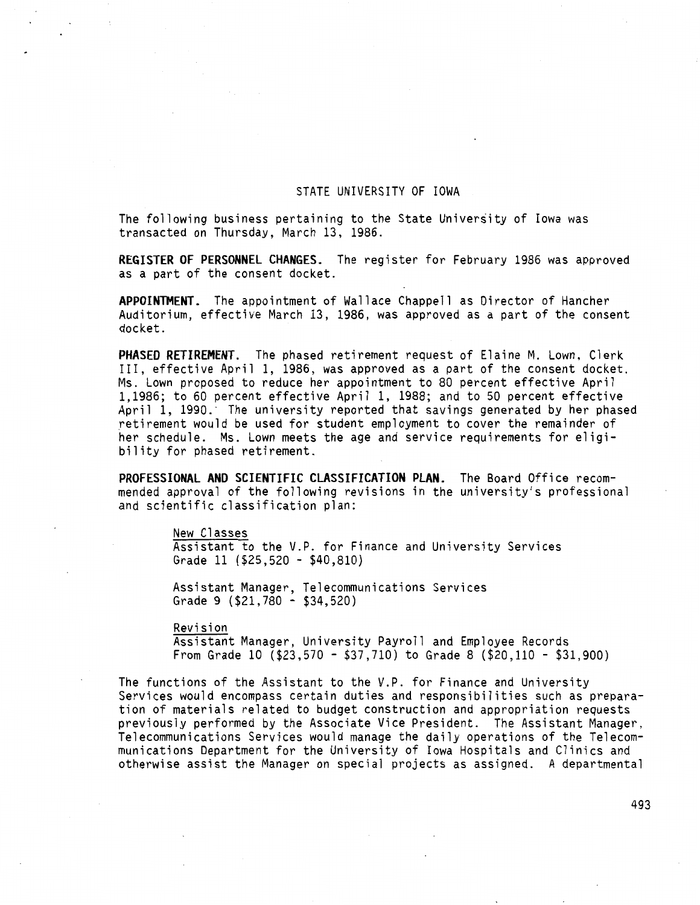#### STATE UNIVERSITY OF IOWA

The following business pertaining to the State University of Iowa was transacted on Thursday, March 13, 1986.

**REGISTER OF PERSONNEL CHANGES.** The register for February 1986 was approved as a part of the consent docket.

**APPOINTMENT.** The appointment of Wallace Chappell as Director of Hancher Auditorium, effective March 13, 1986, was approved as a part of the consent docket.

**PHASED RETIREMENT.** The phased retirement request of Elaine M. Lown, Clerk III, effective April l, 1986, was approved as a part of the consent docket. Ms. Lown proposed to reduce her appointment to 80 percent effective April 1,1986; to 60 percent effective April 1, 1988; and to 50 percent effective April 1, 1990.· The university reported that savings generated by her phased retirement would be used for student employment to cover the remainder of her schedule. Ms. Lown meets the age and service requirements for eligibility for phased retirement.

**PROFESSIONAL AND SCIENTIFIC CLASSIFICATION PLAN.** The Board Office recommended approval of the following revisions in the university's professional and scientific classification plan:

#### New Classes

Assistant to the V.P. for Finance and University Services Grade 11 (\$25,520 - \$40,810)

Assistant Manager, Telecommunications Services Grade 9 (\$21,780 - \$34,520)

Revision

Assistant Manager, University Payroll and Employee Records From Grade 10 (\$23,570 - \$37,710) to Grade 8 (\$20,110 - \$31,900)

The functions of the Assistant to the V.P. for Finance and University Services would encompass certain duties and responsibilities such as preparation of materials related to budget construction and appropriation requests previously performed by the Associate Vice President. The Assistant Manager, Telecommunications Services would manage the daily operations of the Telecommunications Department for the University of Iowa Hospitals and Clinics and otherwise assist the Manager on special projects as assigned. A departmental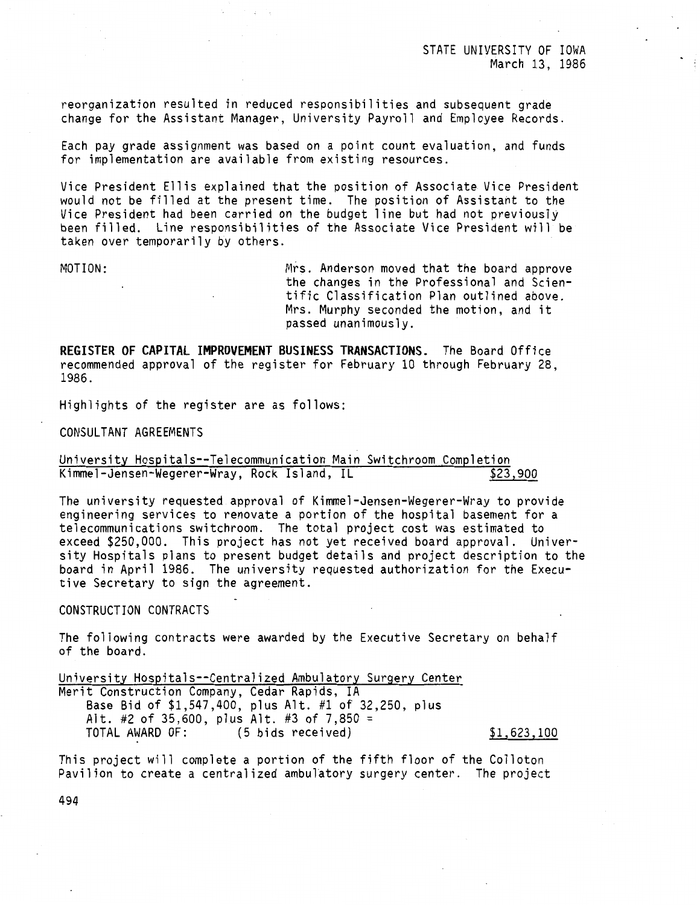reorganization resulted in reduced responsibilities and subsequent grade change for the Assistant Manager, University Payroll and Employee Records.

Each pay grade assignment was based on a point count evaluation, and funds for implementation are available from existing resources.

Vice President Ellis explained that the position of Associate Vice President would not be filled at the present time. The position of Assistant to the Vice President had been carried on the budget line but had not previously been filled. Line responsibilities of the Associate Vice President will be taken over temporarily by others.

MOTION: Mrs. Anderson moved that the board approve the changes in the Professional and Scientific Classification Plan outlined above. Mrs. Murphy seconded the motion, and it passed unanimously.

**REGISTER OF CAPITAL IMPROVEMENT BUSINESS TRANSACTIONS.** The Board Office recommended approval of the register for February 10 through February 28, 1986.

Highlights of the register are as follows:

CONSULTANT AGREEMENTS

University Hospitals--Telecommunication Main Switchroom Completion<br>Kimmel-Jensen-Wegerer-Wray, Rock Island, IL \$23,900 Kimmel-Jensen-Wegerer-Wray, Rock Island, IL

The university requested approval of Kimmel-Jensen-Wegerer-Wray to provide engineering services to renovate a portion of the hospital basement for a telecommunications switchroom. The total project cost was estimated to exceed \$250,000. This project has not yet received board approval. University Hospitals plans to present budget details and project description to the board in April 1986. The university requested authorization for the Executive Secretary to sign the agreement.

## CONSTRUCTION CONTRACTS

The following contracts were awarded by the Executive Secretary on behalf of the board.

University Hospitals--Centralized Ambulatory Surgery Center Merit Construction Company, Cedar Rapids, IA Base Bid of \$1,547,400, plus Alt. #1 of 32,250, plus Alt. #2 of 35,600, plus Alt. #3 of 7,850 =  $\overline{10}$ <br>TOTAL AWARD OF: (5 bids received) (5 bids received) \$1,623,100

This project will complete a portion of the fifth floor of the Colleton Pavilion to create a centralized ambulatory surgery center. The project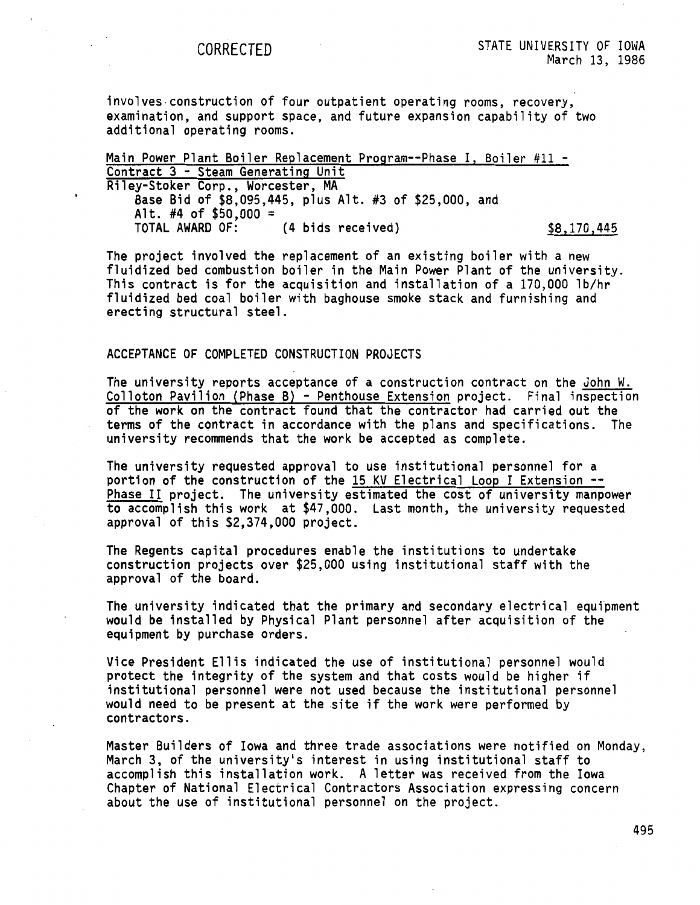involves-construction of four outpatient operating rooms, recovery, examination, and support space, and future expansion capability of two additional operating rooms.

Main Power Plant Boiler Replacement Program--Phase I, Boiler #11 -<br>Contract 3 - Steam Generating Unit Riley-Stoker Corp., Worcester, MA **Base** Bid of \$8,095,445, plus Alt. #3 of \$25,000, and Alt. #4 of \$50,000 =<br>TOTAL AWARD OF: (4 bids received) \$8,170,445

The project involved the replacement of an existing boiler with a new fluidized bed combustion boiler in the Main Power Plant of the university. This contract is for the acquisition and installation of a 170,000 lb/hr fluidized bed coal boiler with baghouse smoke stack and furnishing and erecting structural steel.

## ACCEPTANCE OF COMPLETED CONSTRUCTION PROJECTS

The university reports acceptance of a construction contract on the John W. Colloton Pavilion (Phase B} - Penthouse Extension project. Final inspection of the work on the contract found that the contractor had carried out the terms of the contract in accordance with the plans and specifications. The university recommends that the work be accepted as complete.

The university requested approval to use institutional personnel for a portion of the construction of the 15 KV Electrical Loop I Extension --Phase II project. The university estimated the cost of university manpower to accomplish this work at \$47,000. Last month, the university requested approval of this \$2,374,000 project.

The Regents capital procedures enable the institutions to undertake construction projects over \$25,000 using institutional staff with the approval of the board.

The university indicated that the primary and secondary electrical equipment would be installed by Physical Plant personnel after acquisition of the equipment by purchase orders.

Vice President Ellis indicated the use of institutional personnel would protect the integrity of the system and that costs would be higher if institutional personnel were not used because the institutional personnel would need to be present at the site if the work were performed by contractors.

Master Builders of Iowa and three trade associations were notified on Monday, March 3, of the university's interest in using institutional staff to accomplish this installation work. A letter was received from the Iowa Chapter of National Electrical Contractors Association expressing concern about the use of institutional personnel on the project.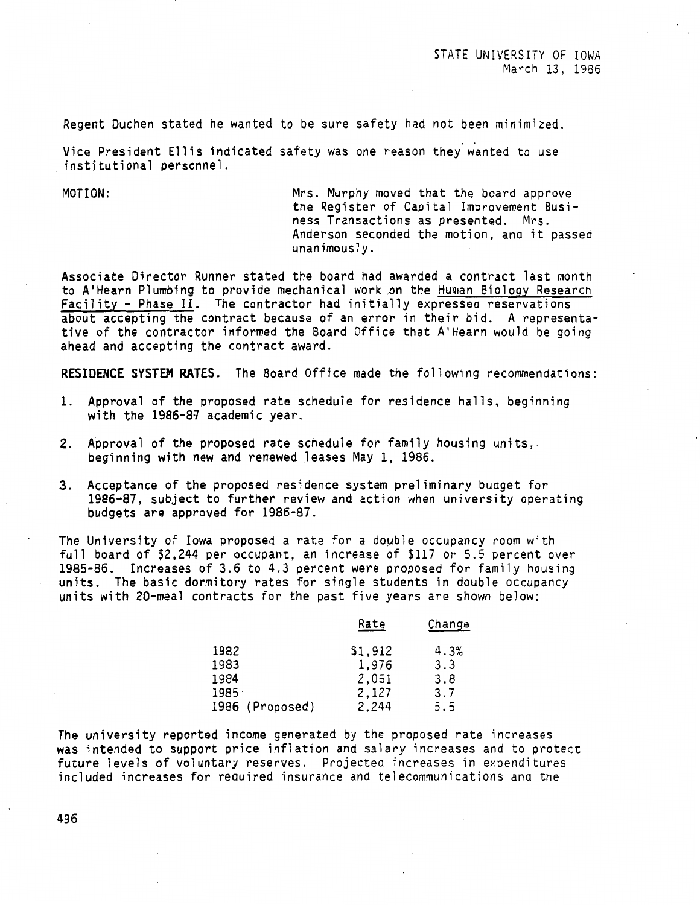Regent Duchen stated he wanted to be sure safety had not been minimized.

Vice President Ellis indicated safety was one reason they wanted to use institutional personnel.

MOTION: Mrs. Murphy moved that the board approve the Register of Capital Improvement Business Transactions as presented. Mrs. Anderson seconded the motion, and it passed unanimously.

Associate Director Runner stated the board had awarded a contract last month to A'Hearn Plumbing to provide mechanical work .on the Human Biology Research Facility - Phase II. The contractor had initially expressed reservations about accepting the contract because of an error in their bid. A representative of the contractor informed the Board Office that A'Hearn would be going ahead and accepting the contract award.

**RESIDENCE SYSTEM RATES.** The Board Office made the following recommendations:

- 1. Approval of the proposed rate schedule for residence halls, beginning with the 1986-87 academic year.
- 2. Approval of the proposed rate schedule for family housing units,. beginning with new and renewed leases May 1, 1986.
- 3. Acceptance of the proposed residence system preliminary budget for 1986-87, subject to further review and action when university operating budgets are approved for 1986-87.

The University of Iowa proposed a rate for a double occupancy room with full board of \$2,244 per occupant, an increase of \$117 or 5.5 percent over 1985-86. Increases of 3.6 to 4.3 percent were proposed for family housing units. The basic dormitory rates for single students in double occupancy units with 20-meal contracts for the past five years are shown below:

| Rate    | Change |
|---------|--------|
| \$1,912 | 4.3%   |
| 1,976   | 3.3    |
| 2,051   | 3.8    |
| 2,127   | 3.7    |
| 2,244   | 5.5    |
|         |        |

The university reported income generated by the proposed rate increases was intended to support price inflation and salary increases and to protect future levels of voluntary reserves. Projected increases in expenditures included increases for required insurance and telecommunications and the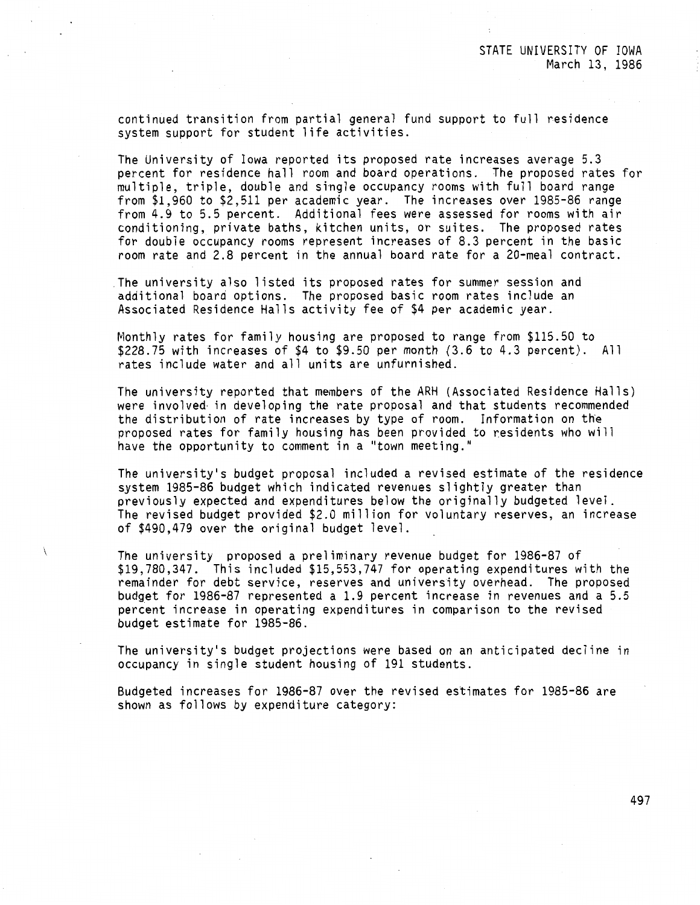continued transition from partial general fund support to full residence system support for student life activities.

The University of Iowa reported its proposed rate increases average 5.3 percent for residence hall room and board operations. The proposed rates for multiple, triple, double and single occupancy rooms with full board range from \$1,960 to \$2,511 per academic year. The increases over 1985-86 range from 4.9 to 5.5 percent. Additional fees were assessed for rooms with air conditioning, private baths, kitchen units, or suites. The proposed rates for double occupancy rooms represent increases of 8.3 percent in the basic room rate and 2.8 percent in the annual board rate for a 20-meal contract.

The university also listed its proposed rates for summer session and additional board options. The proposed basic room rates include an Associated Residence Halls activity fee of \$4 per academic year.

Monthly rates for family housing are proposed to range from \$115.50 to \$228.75 with increases of \$4 to \$9.50 per month (3.6 to 4.3 percent). All rates include water and all units are unfurnished.

The university reported that members of the ARH (Associated Residence Halls) were involved· in developing the rate proposal and that students recommended the distribution of rate increases by type of room. Information on the proposed rates for family housing has been provided to residents who will have the opportunity to comment in a "town meeting."

The university's budget proposal included a revised estimate of the residence system 1985-86 budget which indicated revenues slightly greater than previously expected and expenditures below the originally budgeted level. The revised budget provided \$2.0 million for voluntary reserves, an increase of \$490,479 over the original budget level.

The university proposed a preliminary revenue budget for 1986-87 of \$19,780,347. This included \$15,553,747 for operating expenditures with the remainder for debt service, reserves and university overhead. The proposed budget for 1986-87 represented a 1.9 percent increase in revenues and a 5.5 percent increase in operating expenditures in comparison to the revised budget estimate for 1985-86.

The university's budget projections were based on an anticipated decline in occupancy in single student housing of 191 students.

Budgeted increases for 1986-87 over the revised estimates for 1985-86 are shown as follows by expenditure category: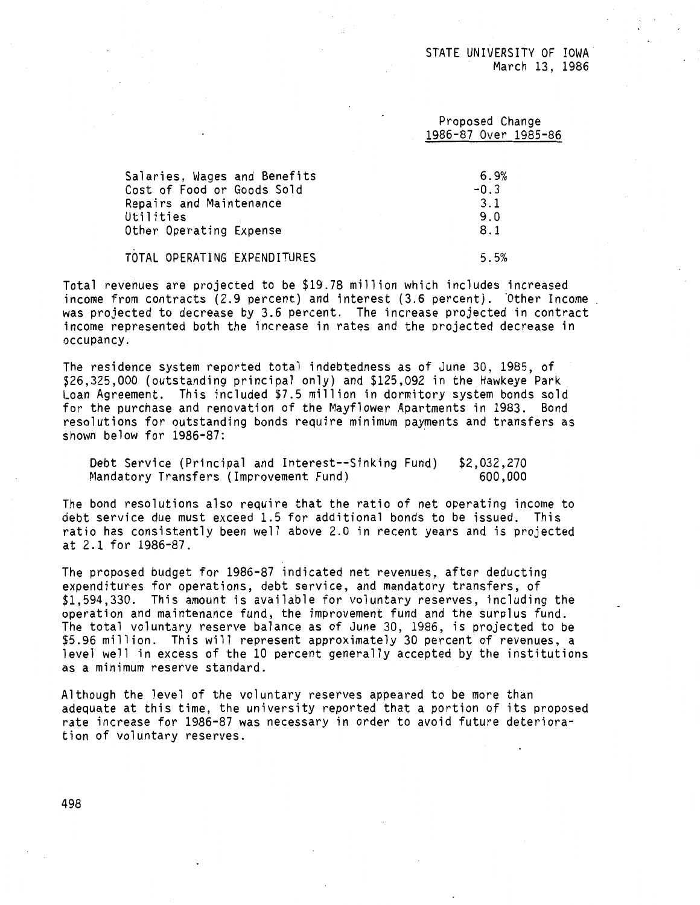## Proposed Change 1986-87 Over 1985-86

| Salaries, Wages and Benefits | 6.9%   |
|------------------------------|--------|
| Cost of Food or Goods Sold   | $-0.3$ |
| Repairs and Maintenance      | 3.1    |
| Utilities                    | 9.0    |
| Other Operating Expense      | 8.1    |
| TOTAL OPERATING EXPENDITURES | 5.5%   |

Total revenues are projected to be \$19.78 million which includes increased income from contracts  $(2.9$  percent) and interest  $(3.6$  percent). Other Income was projected to decrease by 3.6 percent. The increase projected in contract income represented both the increase in rates and the projected decrease in occupancy.

The residence system reported total indebtedness as of June 30, 1985, of \$26,325,000 (outstanding principal only) and \$125,092 in the Hawkeye Park Loan Agreement. This included \$7.5 million in dormitory system bonds sold for the purchase and renovation of the Mayflower Apartments in 1983. Bond resolutions for outstanding bonds require minimum payments and transfers as shown below for 1986-87:

Debt Service (Principal and Interest--Sinking Fund) Mandatory Transfers (Improvement Fund) \$2,032,270 600,000

The bond resolutions also require that the ratio of net operating income to debt service due must exceed 1.5 for additional bonds to be issued. This ratio has consistently been well above 2.0 in recent years and is projected at 2.1 for 1986-87.

The proposed budget for 1986-87 indicated net revenues, after deducting expenditures for operations, debt service, and mandatory transfers, of \$1,594,330. This amount is available for voluntary reserves, including the operation and maintenance fund, the improvement fund and the surplus fund. The total voluntary reserve balance as of June 30, 1986, is projected to be \$5.96 million. This will represent approximately 30 percent of revenues, a level well in excess of the 10 percent generally accepted by the institutions as a minimum reserve standard.

Although the level of the voluntary reserves appeared to be more than adequate at this time, the university reported that a portion of its proposed rate increase for 1986-87 was necessary in order to avoid future deterioration of voluntary reserves.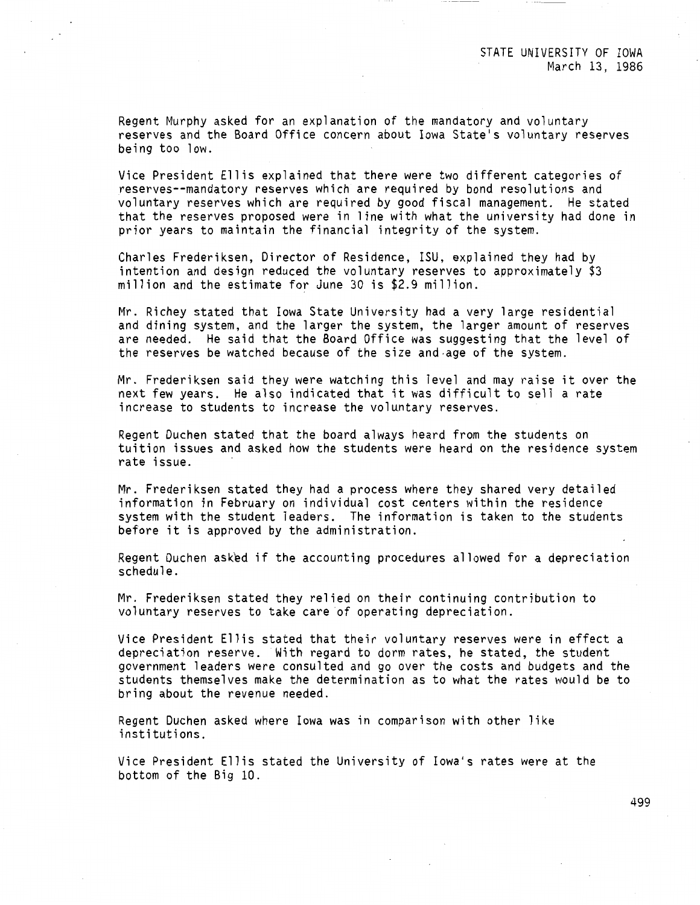Regent Murphy asked for an explanation of the mandatory and voluntary reserves and the Board Office concern about Iowa State's voluntary reserves being too low.

Vice President Ellis explained that there were two different categories of reserves--mandatory reserves which are required by bond resolutions and voluntary reserves which are required by good fiscal management. He stated that the reserves proposed were in line with what the university had done in prior years to maintain the financial integrity of the system.

Charles Frederiksen, Director of Residence, ISU, explained they had by intention and design reduced the voluntary reserves to approximately \$3 million and the estimate for June 30 is \$2.9 million.

Mr. Richey stated that Iowa State University had a very large residential and dining system, and the larger the system, the larger amount of reserves are needed. He said that the Board Office was suggesting that the level of the reserves be watched because of the size and-age of the system.

Mr. Frederiksen said they were watching this level and may raise it over the next few years. He also indicated that it was difficult to sell a rate increase to students to increase the voluntary reserves.

Regent Duchen stated that the board always heard from the students on tuition issues and asked how the students were heard on the residence system rate issue.

Mr. Frederiksen stated they had a process where they shared very detailed information in February on individual cost centers within the residence system with the student leaders. The information is taken to the students before it is approved by the administration.

Regent Duchen asked if the accounting procedures allowed for a depreciation schedule.

Mr. Frederiksen stated they relied on their continuing contribution to voluntary reserves to take care of operating depreciation.

Vice President Ellis stated that their voluntary reserves were in effect a depreciation reserve. With regard to dorm rates, he stated, the student government leaders were consulted and go over the costs and budgets and the students themselves make the determination as to what the rates would be to bring about the revenue needed.

Regent Duchen asked where Iowa was in comparison with other like institutions.

Vice President Ellis stated the University of Iowa's rates were at the bottom of the Big 10.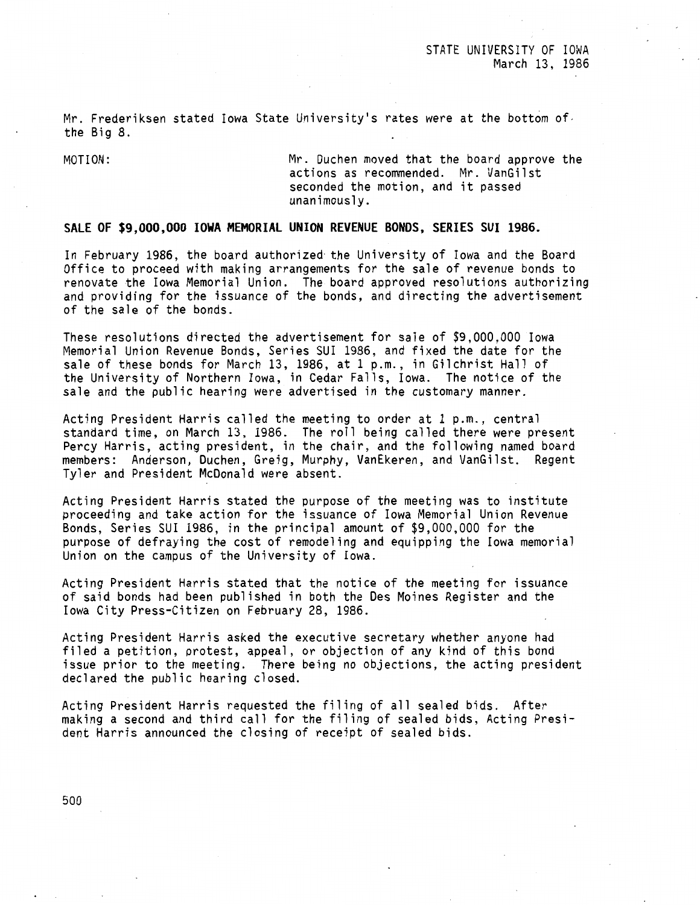Mr. Frederiksen stated Iowa State University's rates were at the bottom of. the Big 8.

MOTION: Mr. Duchen moved that the board approve the actions as recommended. Mr. VanGilst seconded the motion, and it passed unanimously.

# **SALE OF \$9,000,000 IOWA MEMORIAL UNION REVENUE BONDS, SERIES SUI 1986.**

In February 1986, the board authorized· the University of Iowa and the Board Office to proceed with making arrangements for the sale of revenue bonds to renovate the Iowa Memorial Union. The board approved resolutions authorizing and providing for the issuance of the bonds, and directing the advertisement of the sale of the bonds.

These resolutions directed the advertisement for sale of \$9,000,000 Iowa Memorial Union Revenue Bonds, Series SUI 1986, and fixed the date for the sale of these bonds for March 13, 1986, at 1 p.m., in Gilchrist Hall of the University of Northern Iowa, in Cedar Falls, Iowa. The notice of the sale and the public hearing were advertised in the customary manner.

Acting President Harris called the meeting to order at 1 p.m., central standard time, on March 13, 1986. The roll being called there were present Percy Harris, acting president, in the chair, and the following named board members: Anderson, Duchen, Greig, Murphy, VanEkeren, and VanGilst. Regent Tyler and President McDonald were absent.

Acting President Harris stated the purpose of the meeting was to institute proceeding and take action for the issuance of Iowa Memorial Union Revenue Bonds, Series SUI 1986, in the principal amount of \$9,000,000 for the purpose of defraying the cost of remodeling and equipping the Iowa memorial Union on the campus of the University of Iowa.

Acting President Harris stated that the notice of the meeting for issuance of said bonds had been published in both the Des Moines Register and the Iowa City Press-Citizen on February 28, 1986.

Acting President Harris asked the executive secretary whether anyone had filed a petition, protest, appeal, or objection of any kind of this bond issue prior to the meeting. There being no objections, the acting president declared the public hearing closed.

Acting President Harris requested the filing of all sealed bids. After making a second and third call for the filing of sealed bids, Acting President Harris announced the closing of receipt of sealed bids.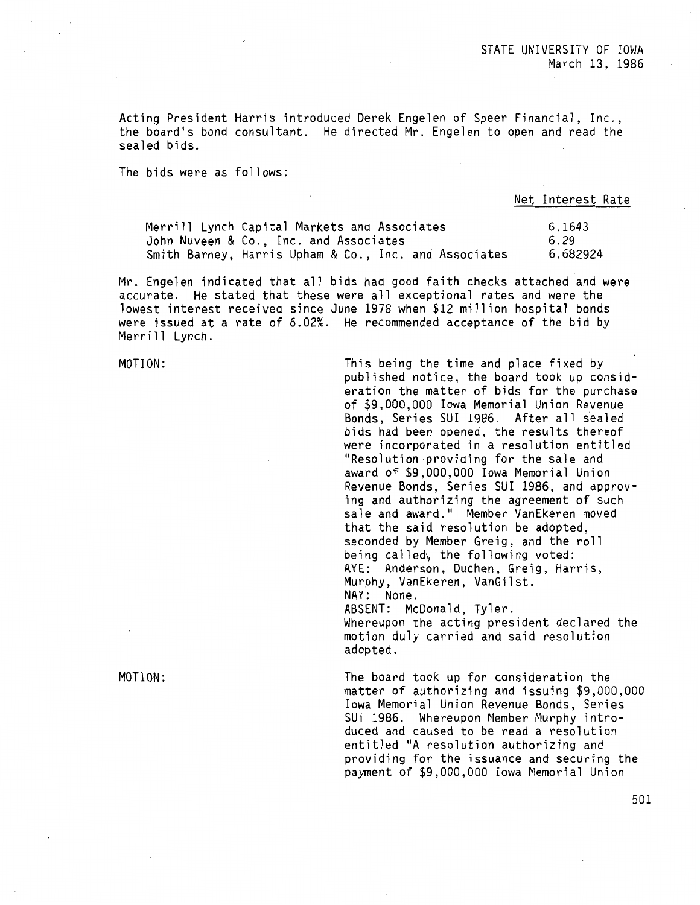Acting President Harris introduced Derek Engelen of Speer Financial, Inc., the board's bond consultant. He directed Mr. Engelen to open and read the sealed bids.

The bids were as follows:

Net Interest Rate

| Merrill Lynch Capital Markets and Associates          | 6.1643   |
|-------------------------------------------------------|----------|
| John Nuveen & Co., Inc. and Associates                | 6.29     |
| Smith Barney, Harris Upham & Co., Inc. and Associates | 6.682924 |

Mr. Engelen indicated that all bids had good faith checks attached and were accurate. He stated that these were all exceptional rates and were the lowest interest received since June 1978 when \$12 million hospital bonds were issued at a rate of 6.02%. He recommended acceptance of the bid by Merrill Lynch.

MOTION:

This being the time and place fixed by published notice, the board took up consideration the matter of bids for the purchase of \$9,000,000 Iowa Memorial Union Revenue Bonds, Series SUI 1986. After all sealed bids had been opened, the results thereof<br>were incorporated in a resolution entitled "Resolution providing for the sale and award of \$9,000,000 Iowa Memorial Union Revenue Bonds, Series SUI 1986, and approving and authorizing the agreement of such sale and award." Member VanEkeren moved that the said resolution be adopted, seconded by Member Greig, and the roll being called, the following voted: AYE: Anderson, Duchen, Greig, Harris, Murphy, VanEkeren, VanGilst. NAY: None. ABSENT: McDonald, Tyler. Whereupon the acting president declared the

motion duly carried and said resolution adopted.

The board took up for consideration the matter of authorizing and issuing \$9,000,000 Iowa Memorial Union Revenue Bonds, Series SUi 1986. Whereupon Member Murphy introduced and caused to be read a resolution entitled "A resolution authorizing and providing for the issuance and securing the payment of \$9,000,000 Iowa Memorial Union

MOTION: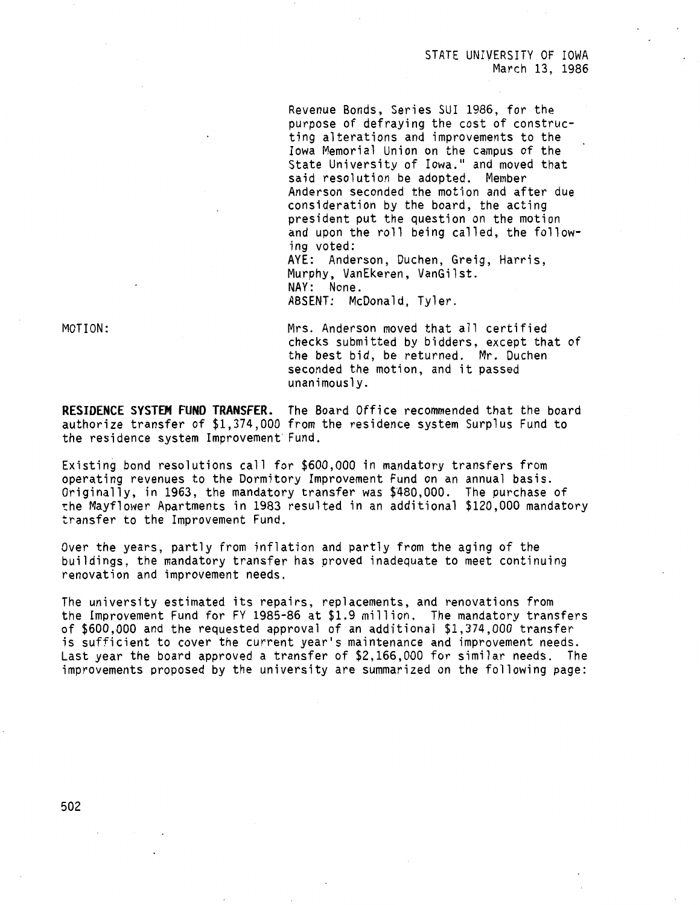## STATE UNIVERSITY OF IOWA March 13, 1986

Revenue Bonds, Series SUI 1986, for the purpose of defraying the cost of constructing alterations and improvements to the Iowa Memorial Union on the campus of the State University of Iowa." and moved that said resolution be adopted. Member Anderson seconded the motion and after due consideration by the board, the acting president put the question on the motion and upon the roll being called, the following voted: AYE: Anderson, Duchen, Greig, Harris,

Murphy, VanEkeren, VanGilst. NAY: None. ABSENT: McDonald, Tyler.

MOTION:

Mrs. Anderson moved that all certified checks submitted by bidders, except that of the best bid, be returned. Mr. Duchen seconded the motion, and it passed unanimously.

**RESIDENCE SYSTEM FUND TRANSFER.** The Board Office recommended that the board authorize transfer of \$1,374,000 from the residence system Surplus Fund to the residence system Improvement· Fund.

Existing bond resolutions call for \$600,000 in mandatory transfers from operating revenues to the Dormitory Improvement Fund on an annual basis. Originally, in 1963, the mandatory transfer was \$480,000. The purchase of the Mayflower Apartments in 1983 resulted in an additional \$120,000 mandatory transfer to the Improvement Fund.

Over the years, partly from inflation and partly from the aging of the buildings, the mandatory transfer has proved inadequate to meet continuing renovation and improvement needs.

The university estimated its repairs, replacements, and renovations from the Improvement Fund for FY 1985-86 at \$1.9 million. The mandatory transfers of \$600,000 and the requested approval of an additional \$1,374,000 transfer is sufficient to cover the current year's maintenance and improvement needs. Last year the board approved a transfer of \$2,166,000 for similar needs. The improvements proposed by the university are summarized on the following page: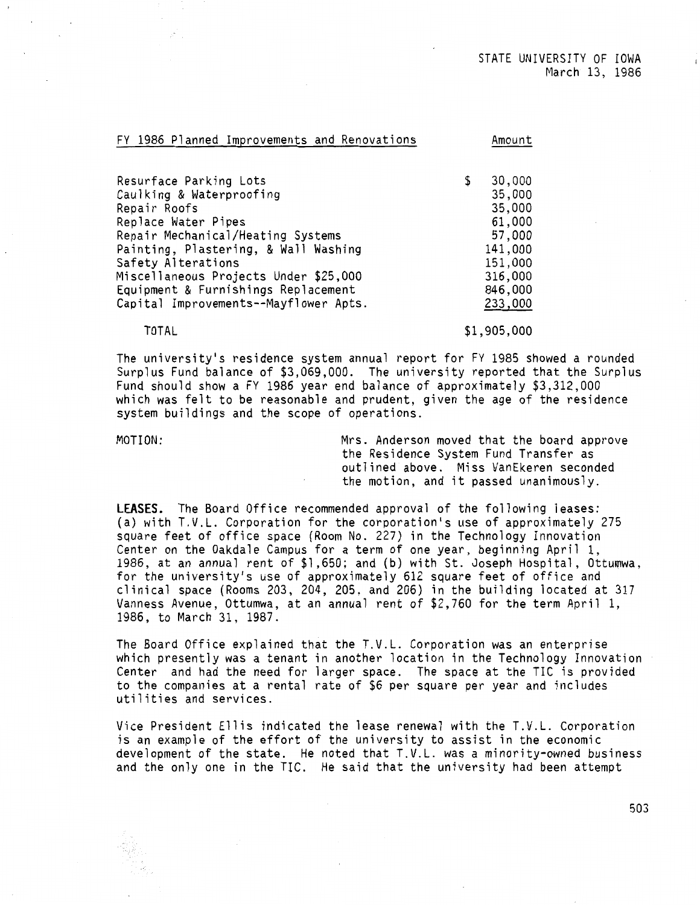| FY 1986 Planned Improvements and Renovations | Amount       |
|----------------------------------------------|--------------|
|                                              |              |
| Resurface Parking Lots                       | \$<br>30,000 |
| Caulking & Waterproofing                     | 35,000       |
| Repair Roofs                                 | 35,000       |
| Replace Water Pipes                          | 61,000       |
| Repair Mechanical/Heating Systems            | 57,000       |
| Painting, Plastering, & Wall Washing         | 141,000      |
| Safety Alterations                           | 151,000      |
| Miscellaneous Projects Under \$25,000        | 316,000      |
| Equipment & Furnishings Replacement          | 846,000      |
| Capital Improvements--Mayflower Apts.        | 233,000      |
|                                              |              |

TOTAL

\$1,905,000

The university's residence system annual report for FY 1985 showed a rounded Surplus Fund balance of \$3,069,000. The university reported that the Surplus Fund should show a FY 1986 year end balance of approximately \$3,312,000 which was felt to be reasonable and prudent, given the age of the residence system buildings and the scope of operations.

MOTION: Mrs. Anderson moved that the board approve the Residence System Fund Transfer as outlined above. Miss VanEkeren seconded the motion, and it passed unanimously.

**LEASES.** The Board Office recommended approval of the following leases: (a) with T.V.L. Corporation for the corporation's use of approximately 275 square feet of office space (Room No. 227) in the Technology Innovation Center on the Oakdale Campus for a term of one year, beginning April 1, 1986, at an annual rent of  $$1,650$ ; and (b) with St. Joseph Hospital, Ottumwa, for the university's use of approximately 612 square feet of office and clinical space (Rooms 203, 204, 205, and 206) in the building located at 317 Vanness Avenue, Ottumwa, at an annual rent of \$2,760 for the term April 1, 1986, to March 31, 1987.

The Board Office explained that the T.V.L. Corporation was an enterprise which presently was a tenant in another location in the Technology Innovation Center and had the need for larger space. The space at the TIC is provided to the companies at a rental rate of \$6 per square per year and includes utilities and services.

Vice President Ellis indicated the lease renewal with the T.V.L. Corporation is an example of the effort of the university to assist in the economic development of the state. He noted that T.V.L. was a minority-owned business and the only one in the TIC. He said that the university had been attempt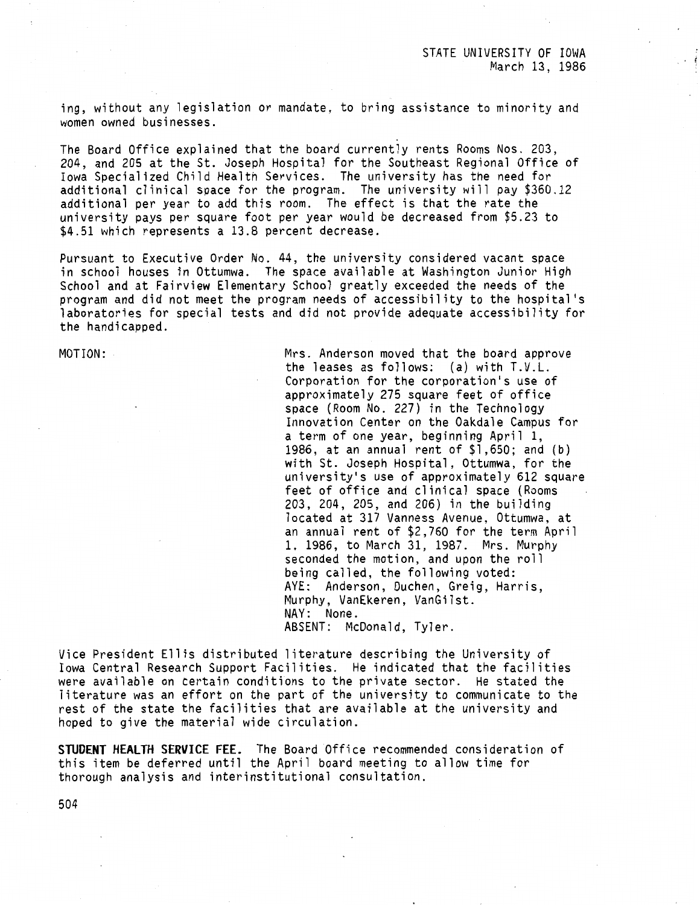ing, without any legislation or mandate, to bring assistance to minority and women owned businesses.

The Board Office explained that the board currently rents Rooms Nos. 203, 204, and 205 at the St. Joseph Hospital for the Southeast Regional Office of Iowa Specialized Child Health Services. The university has the need for additional clinical space for the program. The university will pay \$360.12 additional per year to add this room. The effect is that the rate the university pays per square foot per year would be decreased from \$5.23 to \$4.51 which represents a 13.8 percent decrease.

Pursuant to Executive Order No. 44, the university considered vacant space in school houses in Ottumwa. The space available at Washington Junior High School and at Fairview Elementary School greatly exceeded the needs of the program and did not meet the program needs of accessibility to the hospital's laboratories for special tests and did not provide adequate accessibility for the handicapped.

MOTION: Mrs. Anderson moved that the board approve the leases as follows: (a) with T.V.L. Corporation for the corporation's use of approximately 275 square feet of office space (Room No. 227) in the Technology Innovation Center on the Oakdale Campus for a term of one year, beginning April 1, 1986, at an annual rent of \$1,650; and (b) with St. Joseph Hospital, Ottumwa, for the university's use of approximately 612 square feet of office and clinical space (Rooms 203, 204, 205, and 206) in the building located at 317 Vanness Avenue, Ottumwa, at an annual rent of \$2,760 for the term April l, 1986, to March 31, 1987. Mrs. Murphy seconded the motion, and upon the roll being called, the following voted: AYE: Anderson, Duchen, Greig, Harris, Murphy, VanEkeren, VanGilst. NAY: None. ABSENT: McDonald, Tyler.

Vice President Ellis distributed literature describing the University of Iowa Central Research Support Facilities. He indicated that the facilities were available on certain conditions to the private sector. He stated the literature was an effort on the part of the university to communicate to the rest of the state the facilities that are available at the university and hoped to give the material wide circulation.

**STUDENT HEALTH SERVICE FEE.** The Board Office recommended consideration of this item be deferred until the April board meeting to allow time for thorough analysis and interinstitutional consultation.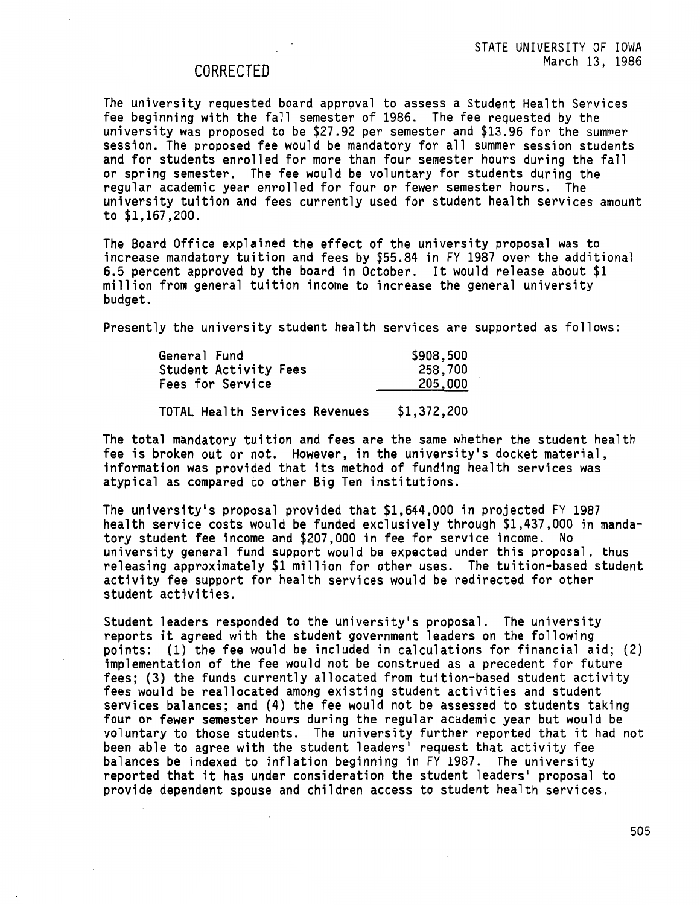# CORRECTED

The university requested board approval to assess a Student Health Services fee beginning with the fall semester of 1986. The fee requested by the university was proposed to be \$27.92 per semester and \$13.96 for the summer session. The proposed fee would be mandatory for all summer session students and for students enrolled for more than four semester hours during the fall or spring semester. The fee would be voluntary for students during the regular academic year enrolled for four or fewer semester hours. The university tuition and fees currently used for student health services amount to \$1,167,200.

The Board Office explained the effect of the university proposal was to increase mandatory tuition and fees by \$55.84 in FY 1987 over the additional 6.5 percent approved by the board in October. It would release about \$1 million from general tuition income to increase the general university budget.

Presently the university student health services are supported as follows:

| General Fund          | \$908,500 |
|-----------------------|-----------|
| Student Activity Fees | 258,700   |
| Fees for Service      | 205,000   |
|                       |           |

TOTAL Health Services Revenues \$1,372,200

The total mandatory tuition and fees are the same whether the student health fee is broken out or not. However, in the university's docket material, information was provided that its method of funding health services was atypical as compared to other Big Ten institutions.

The university's proposal provided that \$1,644,000 in projected FY 1987 health service costs would be funded exclusively through \$1,437,000 in mandatory student fee income and \$207,000 in fee for service income. No university general fund support would be expected under this proposal, thus releasing approximately \$1 million for other uses. The tuition-based student activity fee support for health services would be redirected for other student activities.

Student leaders responded to the university's proposal. The university reports it agreed with the student government leaders on the following points: (1) the fee would be included in calculations for financial aid; (2) implementation of the fee would not be construed as a precedent for future fees; (3) the funds currently allocated from tuition-based student activity **fees** would be reallocated among existing student activities and student services balances; and (4) the fee would not be assessed to students taking four or fewer semester hours during the regular academic year but would be voluntary to those students. The university further reported that it had not been able to agree with the student leaders' request that activity fee balances be indexed to inflation beginning in FY 1987. The university reported that it has under consideration the student leaders' proposal to provide dependent spouse and children access to student health services.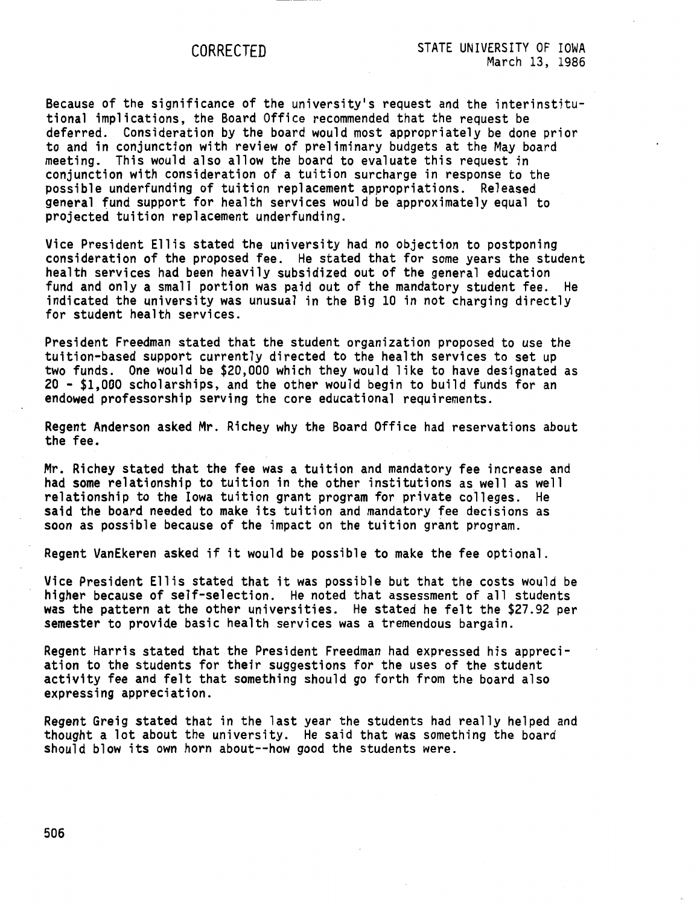**Because** of the significance of the university's request and the interinstitutional implications, the Board Office recommended that the request be deferred. Consideration by the board would most appropriately be done prior to and in conjunction with review of preliminary budgets at the May board meeting. This would also allow the board to evaluate this request in conjunction with consideration of a tuition surcharge in response to the possible underfunding of tuition replacement appropriations. Released general fund support for health services would be approximately equal to projected tuition replacement underfunding.

Vice President Ellis stated the university had no objection to postponing consideration of the proposed fee. He stated that for some years the student health services had been heavily subsidized out of the general education fund and only a small portion was paid out of the mandatory student fee. He indicated the university was unusual in the Big 10 in not charging directly for student health services.

President Freedman stated that the student organization proposed to use the tuition-based support currently directed to the health services to set up two funds. One would be \$20,000 which they would like to have designated as 20 - \$1,000 scholarships, and the other would begin to build funds for an endowed professorship serving the core educational requirements.

Regent Anderson asked Mr. Richey why the Board Office had reservations about **the fee.** 

Mr. Richey stated that the fee was a tuition and mandatory fee increase and had some relationship to tuition in the other institutions as well as well relationship to the Iowa tuition grant program for private colleges. He said the board needed to make its tuition and mandatory fee decisions as soon as possible because of the impact on the tuition grant program.

Regent VanEkeren asked if it would be possible to make the fee optional.

Vice President Ellis stated that it was possible but that the costs would be higher because of self-selection. He noted that assessment of all students was the pattern at the other universities. He stated he felt the \$27.92 per semester to provide basic health services was a tremendous bargain.

Regent Harris stated that the President Freedman had expressed his appreciation to the students for their suggestions for the uses of the student activity fee and felt that something should go forth from the board also expressing appreciation.

Regent Greig stated that in the last year the students had really helped and thought a lot about the university. He said that was something the board should blow its own horn about--how good the students were.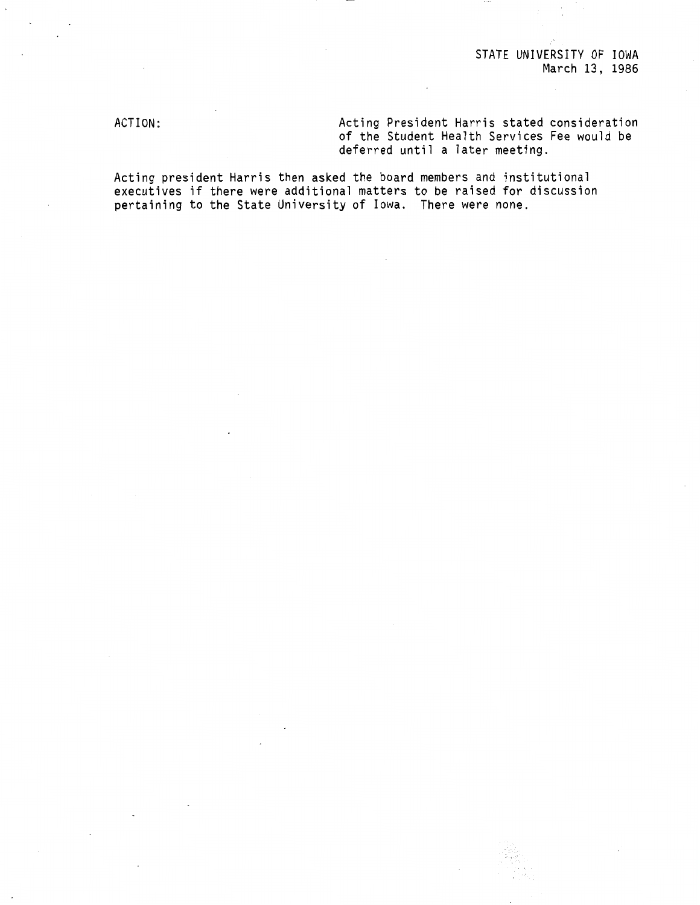# STATE UNIVERSITY OF IOWA March 13, 1986

ACTION:

Acting President Harris stated consideration of the Student Health Services Fee would be deferred until a later meeting.

Acting president Harris then asked the board members and institutional executives if there were additional matters to be raised for discussion pertaining to the State University of Iowa. There were none.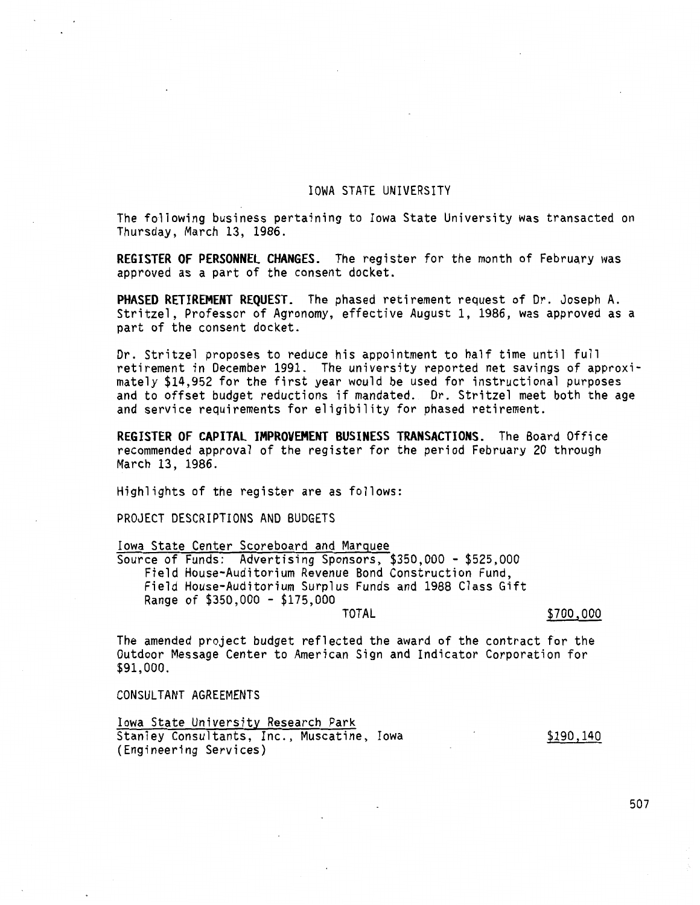## IOWA STATE UNIVERSITY

The following business pertaining to Iowa State University was transacted on Thursday, March 13, 1986.

**REGISTER OF PERSONNEL CHANGES.** The register for the month of February was approved as a part of the consent docket.

**PHASED RETIREMENT REQUEST.** The phased retirement request of Dr. Joseph A. Stritzel, Professor of Agronomy, effective August 1, 1986, was approved as a part of the consent docket.

Dr. Stritzel proposes to reduce his appointment to half time until full retirement in December 1991. The university reported net savings of approximately \$14,952 for the first year would be used for instructional purposes and to offset budget reductions if mandated. Dr. Stritzel meet both the age and service requirements for eligibility for phased retirement.

**REGISTER OF CAPITAL IMPROVEMENT BUSINESS TRANSACTIONS.** The Board Office recommended approval of the register for the period February 20 through March 13, 1986.

Highlights of the register are as follows:

PROJECT DESCRIPTIONS AND BUDGETS

Iowa State Center Scoreboard and Marquee

Source of Funds: Advertising Sponsors, \$350,000 - \$525,000 Field House-Auditorium Revenue Bond Construction Fund, Field House-Auditorium Surplus Funds and 1988 Class Gift Range of \$350,000 - \$175,000

#### TOTAL \$700,000

\$190,140

The amended project budget reflected the award of the contract for the Outdoor Message Center to American Sign and Indicator Corporation for \$91,000.

CONSULTANT AGREEMENTS

Iowa State University Research Park Stanley Consultants, Inc., Muscatine, Iowa (Engineering Services)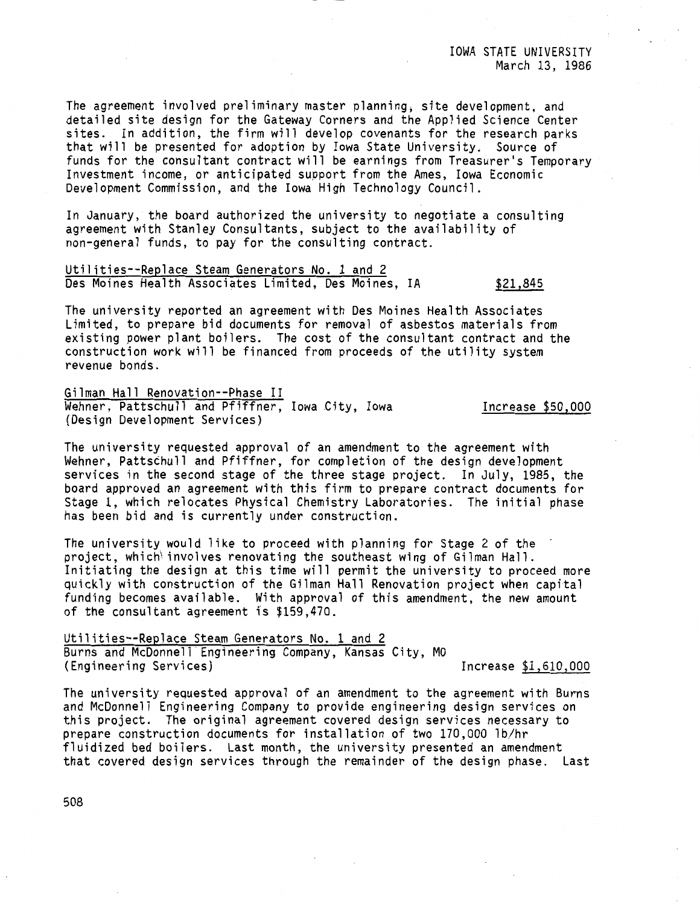The agreement involved preliminary master planning; site development, and detailed site design for the Gateway Corners and the Applied Science Center sites. In addition, the firm will develop covenants for the research parks that will be presented for adoption by Iowa State University. Source of funds for the consultant contract will be earnings from Treasurer's Temporary Investment income, or anticipated support from the Ames, Iowa Economic Development Commission, and the Iowa High Technology Council.

In January, the board authorized the university to negotiate a consulting agreement with Stanley Consultants, subject to the availability of non-general funds, to pay for the consulting contract.

Utilities--Replace Steam Generators No. 1 and 2 Des Moines Health Associates Limited, Des Moines, IA \$21,845

The university reported an agreement with Des Moines Health Associates Limited, to prepare bid documents for removal of asbestos materials from existing power plant boilers. The cost of the consultant contract and the construction work will be financed from proceeds of the utility system revenue bonds.

Gilman Hall Renovation--Phase II Wehner, Pattschull and Pfiffner, Iowa City, Iowa (Design Development Services)

Increase \$50,000

The university requested approval of an amendment to the agreement with Wehner, Pattschull and Pfiffner, for completion of the design development services in the second stage of the three stage project. In July, 1985, the board approved an agreement with this firm to prepare contract documents for Stage 1, which relocates Physical Chemistry Laboratories. The initial phase has been bid and is currently under construction.

The university would like to proceed with planning for Stage 2 of the project, which involves renovating the southeast wing of Gilman Hall. Initiating the design at this time will permit the university to proceed more quickly with construction of the Gilman Hall Renovation project when capital funding becomes available. With approval of this amendment, the new amount of the consultant agreement is \$159,470.

Utilities--Replace Steam Generators No. 1 and 2 Burns and McDonnell Engineering Company, Kansas City, MO (Engineering Services) Increase \$1,610,000

The university requested approval of an amendment to the agreement with Burns and McDonnell Engineering Company to provide engineering design services on this project. The original agreement covered design services necessary to prepare construction documents for installation of two 170,000 lb/hr fluidized bed boilers. Last month, the university presented an amendment that covered design services through the remainder of the design phase. Last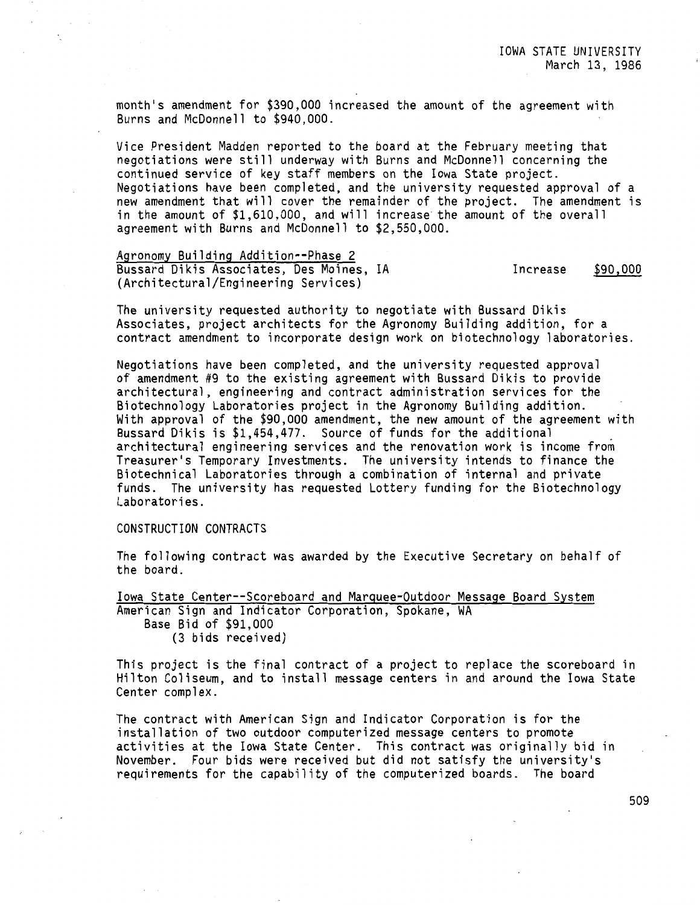month's amendment for \$390,000 increased the amount of the agreement with Burns and McDonnell to \$940,000.

Vice President Madden reported to the board at the February meeting that negotiations were still underway with Burns and McDonnell concerning the continued service of key staff members on the Iowa State project. Negotiations have been completed, and the university requested approval of a new amendment that will cover the remainder of the project. The amendment is in the amount of \$1,610,000, and will increase the amount of the overall agreement with Burns and McDonnell to \$2,550,000.

Agronomy Building Addition--Phase 2 Bussard Dikis Associates, Des Moines, IA (Architectural/Engineering Services) Increase \$90,000

The university requested authority to negotiate with Bussard Dikis Associates, project architects for the Agronomy Building addition, for a contract amendment to incorporate design work on biotechnology laboratories.

Negotiations have been completed, and the university requested approval of amendment #9 to the existing agreement with Bussard Dikis to provide architectural, engineering and contract administration services for the Biotechnology Laboratories project in the Agronomy Building addition. With approval of the \$90,000 amendment, the new amount of the agreement with Bussard Dikis is \$1,454,477. Source of funds for the additional architectural engineering services and the renovation work is income from Treasurer's Temporary Investments. The university intends to finance the Biotechnical Laboratories through a combination of internal and private funds. The university has requested Lottery funding for the Biotechnology Laboratories.

## CONSTRUCTION CONTRACTS

The following contract was awarded by the Executive Secretary on behalf of the board.

Iowa State Center--Scoreboard and Marquee-Outdoor Message Board System American Sign and Indicator Corporation, Spokane, WA Base Bid of \$91,000 (3 bids received)

This project is the final contract of a project to replace the scoreboard in Hilton Coliseum, and to install message centers in and around the Iowa State Center complex.

The contract with American Sign and Indicator Corporation is for the installation of two outdoor computerized message centers to promote activities at the Iowa State Center. This contract was originally bid in November. Four bids were received but did not satisfy the university's requirements for the capability of the computerized boards. The board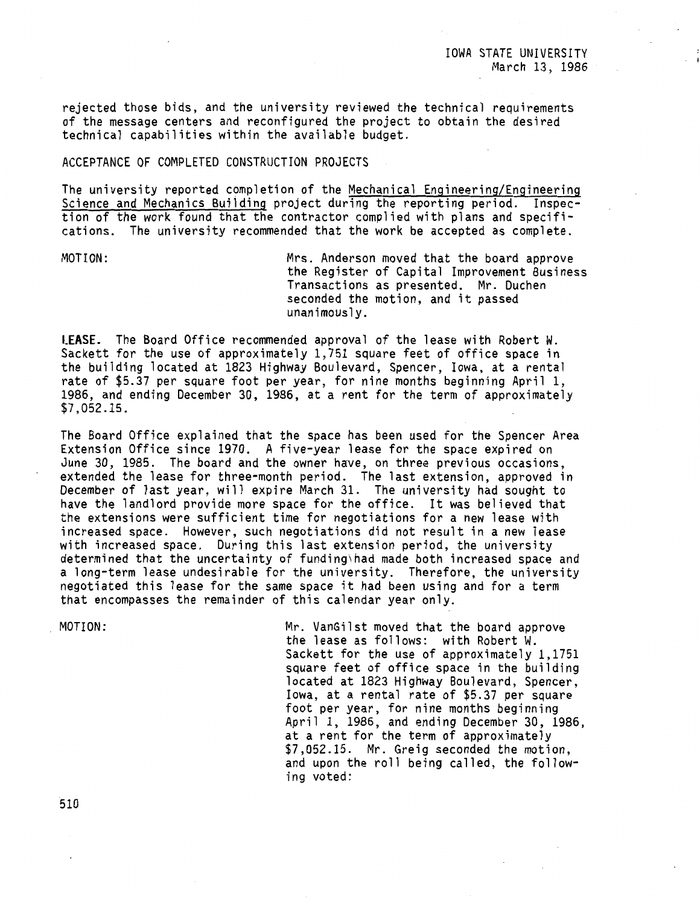rejected those bids, and the university reviewed the technical requirements of the message centers and reconfigured the project to obtain the desired technical capabilities within the available budget.

## ACCEPTANCE OF COMPLETED CONSTRUCTION PROJECTS

The university reported completion of the Mechanical Engineering/Engineering Science and Mechanics Building project during the reporting period. Inspection of the work found that the contractor complied with plans and specifications. The university recommended that the work be accepted as complete.

MOTION: Mrs. Anderson moved that the board approve the Register of Capital Improvement Business Transactions as presented. Mr. Duchen seconded the motion, and it passed unanimously.

**LEASE.** The Board Office recommended approval of the lease with Robert W. Sackett for the use of approximately 1,751 square feet of office space in the building located at 1823 Highway Boulevard, Spencer, Iowa, at a rental rate of \$5.37 per square foot per year, for nine months beginning April 1, 1986, and ending December 30, 1986, at a rent for the term of approximately \$7,052.15.

The Board Office explained that the space has been used for the Spencer Area Extension Office since 1970. A five-year lease for the space expired on June 30, 1985. The board and the owner have, on three previous occasions, extended the lease for three-month period. The last extension, approved in December of last year, will expire March 31. The university had sought to have the landlord provide more space for the office. It was believed that the extensions were sufficient time for negotiations for a new lease with increased space. However, such negotiations did not result in a new lease with increased space. During this last extension period, the university determined that the uncertainty of funding\had made both increased space and a long-term lease undesirable for the university. Therefore, the university negotiated this lease for the same space it had been using and for a term that encompasses the remainder of this calendar year only.

MOTION:

Mr. VanGilst moved that the board approve the lease as follows: with Robert W. Sackett for the use of approximately 1,1751 square feet of office space in the building located at 1823 Highway Boulevard, Spencer, Iowa, at a rental rate of \$5.37 per square foot per year, for nine months beginning April 1, 1986, and ending December 30, 1986, at a rent for the term of approximately \$7,052.15. Mr. Greig seconded the motion, and upon the roll being called, the following voted: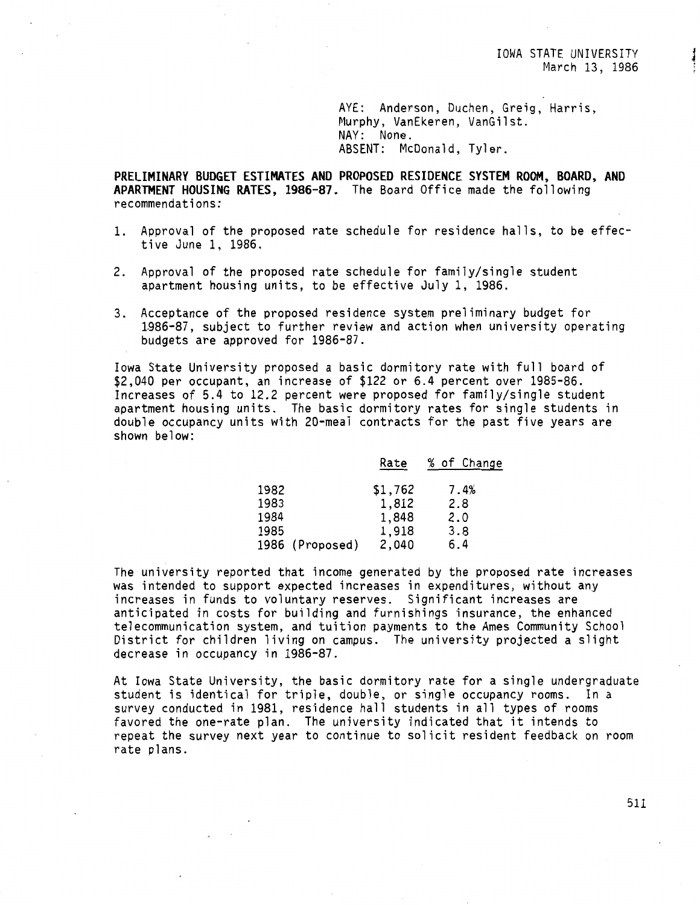AYE: Anderson, Duchen, Greig, Harris, Murphy, VanEkeren, VanGilst. NAY: None. ABSENT: McDonald, Tyler.

**PRELIMINARY BUDGET ESTIMATES AND PROPOSED RESIDENCE SYSTEM ROOM, BOARD, AND APARTMENT HOUSING RATES, 1986-87.** The Board Office made the following recommendations:

- 1. Approval of the proposed rate schedule for residence halls, to be effective June l, 1986.
- 2. Approval of the proposed rate schedule for family/single student apartment housing units, to be effective July 1, 1986.
- 3. Acceptance of the proposed residence system preliminary budget for 1.986-87, subject to further review and action when university operating budgets are approved for 1986-87.

Iowa State University proposed a basic dormitory rate with full board of \$2,040 per occupant, an increase of \$122 or 6.4 percent over 1985-86. Increases of 5.4 to 12.2 percent were proposed for family/single student apartment housing units. The basic dormitory rates for single students in double occupancy units with 20-meal contracts for the past five years are shown below:

|      |                 | Rate    | % of Change |
|------|-----------------|---------|-------------|
| 1982 |                 | \$1,762 | 7.4%        |
| 1983 |                 | 1,812   | 2.8         |
| 1984 |                 | 1,848   | 2.0         |
| 1985 |                 | 1,918   | 3.8         |
|      | 1986 (Proposed) | 2,040   | 6.4         |

The university reported that income generated by the proposed rate increases was intended to support expected increases in expenditures, without any increases in funds to voluntary reserves. Significant increases are anticipated in costs for building and furnishings insurance, the enhanced telecommunication system, and tuition payments to the Ames Community School District for children living on campus. The university projected a slight decrease in occupancy in 1986-87.

At Iowa State University, the basic dormitory rate for a single undergraduate student is identical for triple, double, or single occupancy rooms. In a survey conducted in 1981, residence hall students in all types of rooms favored the one-rate plan. The university indicated that it intends to repeat the survey next year to continue to solicit resident feedback on room rate plans.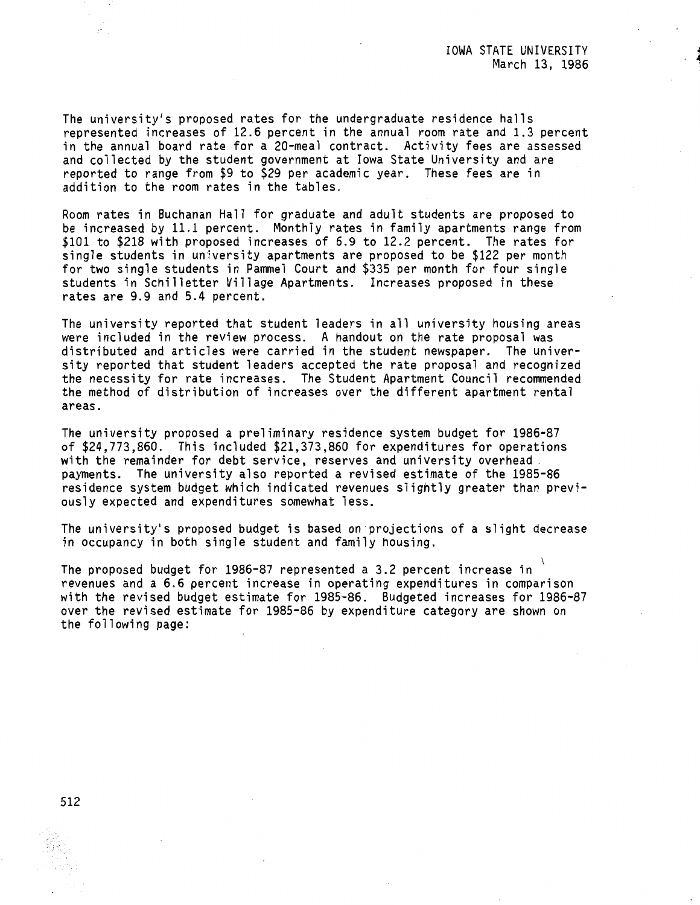The university's proposed rates for the undergraduate residence halls represented increases of 12.6 percent in the annual room rate and 1.3 percent in the annual board rate for a 20-meal contract. Activity fees are assessed and collected by the student government at Iowa State University and are reported to range from \$9 to \$29 per academic year. These fees are in addition to the room rates in the tables.

Room rates in Buchanan Hall for graduate and adult students are proposed to be increased by 11.1 percent. Monthly rates in family apartments range from \$101 to \$218 with proposed increases of 6.9 to 12.2 percent. The rates for single students in university apartments are proposed to be \$122 per month for two single students in Pammel Court and \$335 per month for four single students in Schilletter Village Apartments. Increases proposed in these rates are 9.9 and 5.4 percent.

The university reported that student leaders in all university housing areas were included in the review process. A handout on the rate proposal was distributed and articles were carried in the student newspaper. The university reported that student leaders accepted the rate proposal and recognized the necessity for rate increases. The Student Apartment Council recommended the method of distribution of increases over the different apartment rental areas.

The university proposed a preliminary residence system budget for 1986-87 of \$24,773,860. This included \$21,373,860 for expenditures for operations with the remainder for debt service, reserves and university overhead - payments. The university also reported a revised estimate of the 1985-86 residence system budget which indicated revenues slightly greater than previously expected and expenditures somewhat less.

The university's proposed budget is based on projections of a slight decrease in occupancy in both single student and family housing.

The proposed budget for 1986-87 represented a 3.2 percent increase in revenues and a 6.6 percent increase in operating expenditures in comparison with the revised budget estimate for 1985-86. Budgeted increases for 1986-87 over the revised estimate for 1985-86 by expenditure category are shown on the following page: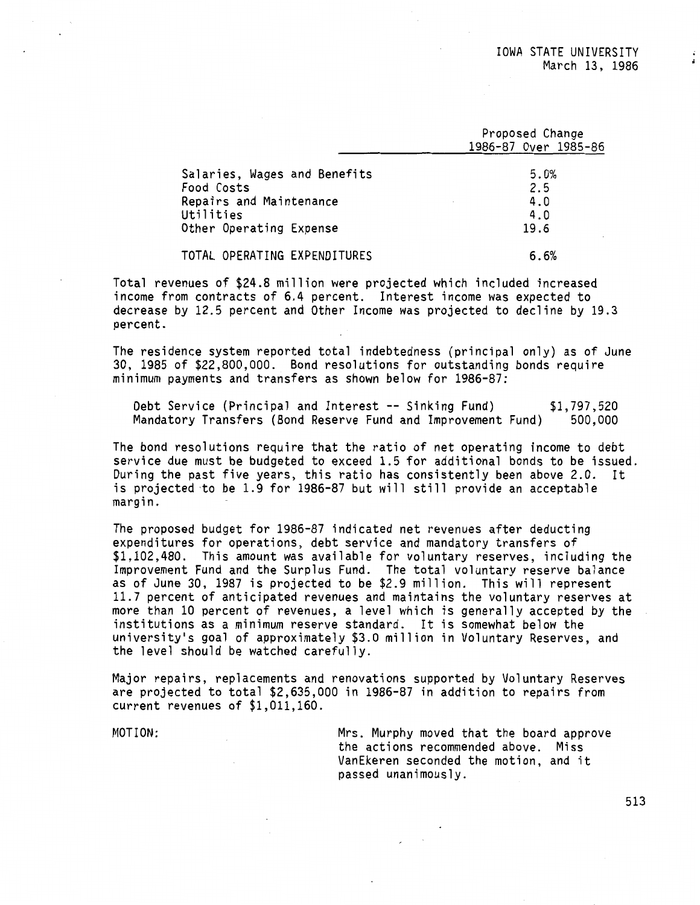Proposed Change

| Proposed Unange      |
|----------------------|
| 1986-87 Over 1985-86 |
|                      |
| 5.0%                 |
| 2.5                  |
| 4.0                  |
| 4.0                  |
| 19.6                 |
| 6.6%                 |
|                      |

Total revenues of \$24.8 million were projected which included increased income from contracts of 6.4 percent. Interest income was expected to decrease by 12.5 percent and Other Income was projected to decline by 19.3 percent.

The residence system reported total indebtedness (principal only) as of June 30, 1985 of \$22,800,000. Bond resolutions for outstanding bonds require minimum payments and transfers as shown below for 1986-87:

Debt Service (Principal and Interest -- Sinking Fund) Mandatory Transfers (Bond Reserve Fund and Improvement Fund) \$1,797,520 500,000

The bond resolutions require that the ratio of net operating income to debt service due must be budgeted to exceed 1.5 for additional bonds to be issued. During the past five years, this ratio has consistently been above 2.0. It is projected ·to be 1.9 for 1986-87 but will still provide an acceptable margin.

The proposed budget for 1986-87 indicated net revenues after deducting expenditures for operations, debt service and mandatory transfers of \$1,102,480. This amount was available for voluntary reserves, including the Improvement Fund and the Surplus Fund. The total voluntary reserve balance as of June 30, 1987 is projected to be \$2.9 million. This will represent 11.7 percent of anticipated revenues and maintains the voluntary reserves at more than 10 percent of revenues, a level which is generally accepted by the institutions as a minimum reserve standard. It is somewhat below the university's goal of approximately \$3.0 million in Voluntary Reserves, and the level should be watched carefully.

Major repairs, replacements and renovations supported by Voluntary Reserves are projected to total \$2,635,000 in 1986-87 in addition to repairs from current revenues of \$1,011,160.

MOTION: Mrs. Murphy moved that the board approve the actions recommended above. Miss VanEkeren seconded the motion, and it passed unanimously.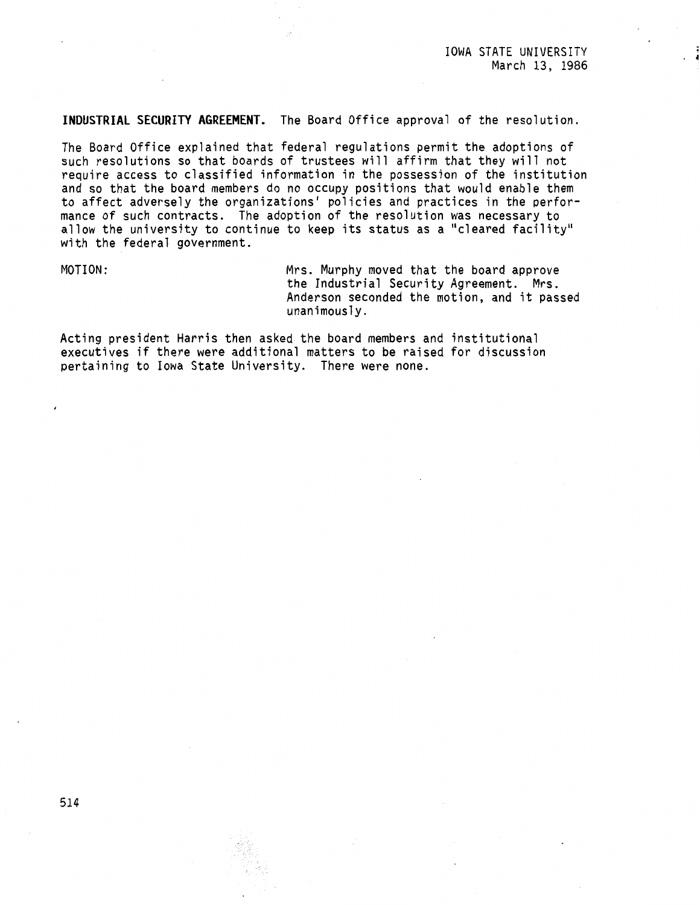**INDUSTRIAL SECURITY AGREEMENT.** The Board Office approval of the resolution.

The Board Office explained that federal regulations permit the adoptions of such resolutions so that boards of trustees will affirm that they will not require access to classified information in the possession of the institution and so that the board members do no occupy positions that would enable them to affect adversely the organizations' policies and practices in the performance of such contracts. The adoption of the resolution was necessary to allow the university to continue to keep its status as a "cleared facility" with the federal government.

MOTION: Mrs. Murphy moved that the board approve the Industrial Security Agreement. Mrs. Anderson seconded the motion, and it passed unanimously.

Acting president Harris then asked the board members and institutional executives if there were additional matters to be raised for discussion pertaining to Iowa State University. There were none.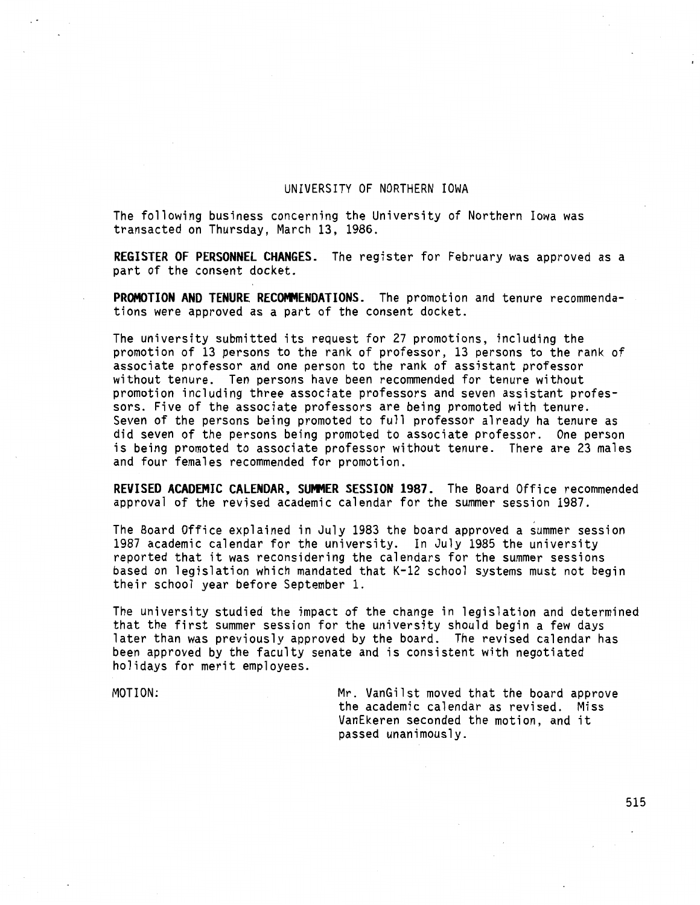## UNIVERSITY OF NORTHERN IOWA

The following business concerning the University of Northern Iowa was transacted on Thursday, March 13, 1986.

**REGISTER OF PERSONNEL CHANGES.** The register for February was approved as a part of the consent docket.

**PROMOTION AND TENURE RECOMMENDATIONS.** The promotion and tenure recommendations were approved as a part of the consent docket.

The university submitted its request for 27 promotions, including the promotion of 13 persons to the rank of professor, 13 persons to the rank of associate professor and one person to the rank of assistant professor without tenure. Ten persons have been recommended for tenure without promotion including three associate professors and seven assistant professors. Five of the associate professors are being promoted with tenure. Seven of the persons being promoted to full professor already ha tenure as did seven of the persons being promoted to associate professor. One person is being promoted to associate professor without tenure. There are 23 males and four females recommended for promotion.

REVISED ACADEMIC CALENDAR, SUMMER SESSION 1987. The Board Office recommended approval of the revised academic calendar for the summer session 1987.

The Board Office explained in July 1983 the board approved a summer session 1987 academic calendar for the university. In July 1985 the university reported that it was reconsidering the calendars for the summer sessions based on legislation which mandated that K-12 school systems must not begin their school year before September 1.

The university studied the impact of the change in legislation and determined that the first summer session for the university should begin a few days later than was previously approved by the board. The revised calendar has been approved by the faculty senate and is consistent with negotiated holidays for merit employees.

MOTION: Mr. VanGilst moved that the board approve the academic calendar as revised. Miss VanEkeren seconded the motion, and it passed unanimously.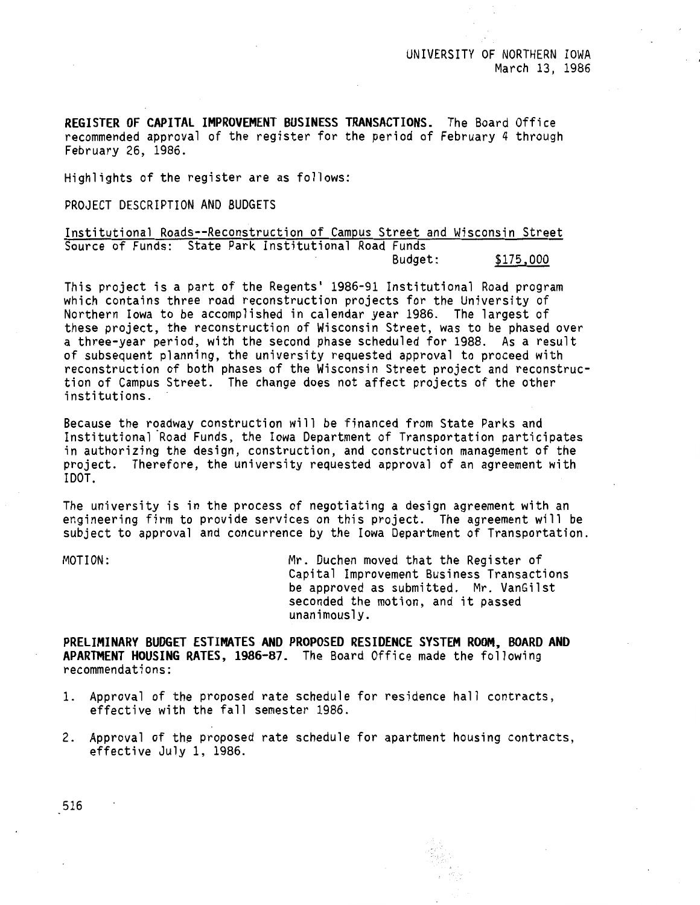**REGISTER OF CAPITAL IMPROVEMENT BUSINESS TRANSACTIONS.** The Board Office recommended approval of the register for the period of February 4 through February 26, 1986.

Highlights of the register are as follows:

PROJECT DESCRIPTION AND BUDGETS

Institutional Roads--Reconstruction of Campus Street and Wisconsin Street Source of Funds: State Park Institutional Road Funds \$175,000

This project is a part of the Regents' 1986-91 Institutional Road program which contains three road reconstruction projects for the University of Northern Iowa to be accomplished in calendar year 1986. The largest of these project, the reconstruction of Wisconsin Street, was to be phased over a three-year period, with the second phase scheduled for 1988. As a result of subsequent planning, the university requested approval to proceed with reconstruction of both phases of the Wisconsin Street project and reconstruction of Campus Street. The change does not affect projects of the other institutions.

Because the roadway construction will be financed from State Parks and Institutional Road Funds, the Iowa Department of Transportation participates in authorizing the design, construction, and construction management of the project. Therefore, the university requested approval of an agreement with !DOT.

The university is in the process of negotiating a design agreement with an engineering firm to provide services on this project. The agreement will be subject to approval and concurrence by the Iowa Department of Transportation.

MOTION: Mr. Duchen moved that the Register of Capital Improvement Business Transactions be approved as submitted. Mr. VanGilst seconded the motion, and it passed unanimously.

**PRELIMINARY BUDGET ESTIMATES AND PROPOSED RESIDENCE SYSTEM ROOM, BOARD AND APARTMENT HOUSING RATES, 1986-87.** The Board Office made the following recommendations:

- 1. Approval of the proposed rate schedule for residence hall contracts, effective with the fall semester 1986.
- 2. Approval of the proposed rate schedule for apartment housing contracts, effective July l, 1986.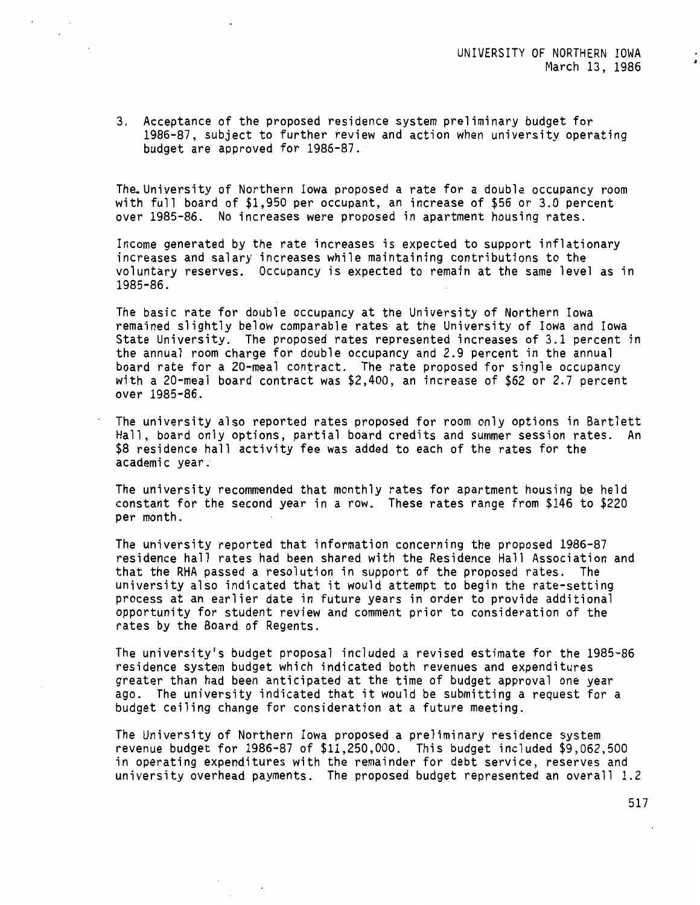3. Acceptance of the proposed residence system preliminary budget for 1986-87, subject to further review and action when university operating budget are approved for 1986-87.

The.University of Northern Iowa proposed a rate for a double occupancy room with full board of \$1,950 per occupant, an increase of \$56 or 3.0 percent over 1985-86. No increases were proposed in apartment housing rates.

Income generated by the rate increases is expected to support inflationary increases and salary increases while maintaining contributions to the voluntary reserves. Occupancy is expected to remain at the same level as in 1985-86.

The basic rate for double occupancy at the University of Northern Iowa remained slightly below comparable rates at the University of Iowa and Iowa State University. The proposed rates represented increases of 3.1 percent in the annual room charge for double occupancy and 2.9 percent in the annual board rate for a 20-meal contract. The rate proposed for single occupancy with a 20-meal board contract was \$2,400, an increase of \$62 or 2.7 percent over 1985-86.

The university also reported rates proposed for room only options in Bartlett Hall, board only options, partial board credits and summer session rates. An \$8 residence hall activity fee was added to each of the rates for the academic year;

The university recommended that monthly rates for apartment housing be held constant for the second year in a row. These rates range from \$146 to \$220 per month.

The university reported that information concerning the proposed 1986-87 residence hall rates had been shared with the Residence Hall Association and that the RHA passed a resolution in support of the proposed rates. The university also indicated that it would attempt to begin the rate-setting process at an earlier date in future years in order to provide additional opportunity for student review and comment prior to consideration of the rates by the Board of Regents.

The university's budget proposal included a revised estimate for the 1985-86 residence system budget which indicated both revenues and expenditures greater than had been anticipated at the time of budget approval one year ago. The university indicated that it would be submitting a request for a budget ceiling change for consideration at a future meeting.

The University of Northern Iowa proposed a preliminary residence system revenue budget for 1986-87 of \$11,250,000. This budget included \$9,062,500 in operating expenditures with the remainder for debt service, reserves and university overhead payments. The proposed budget represented an overall 1.2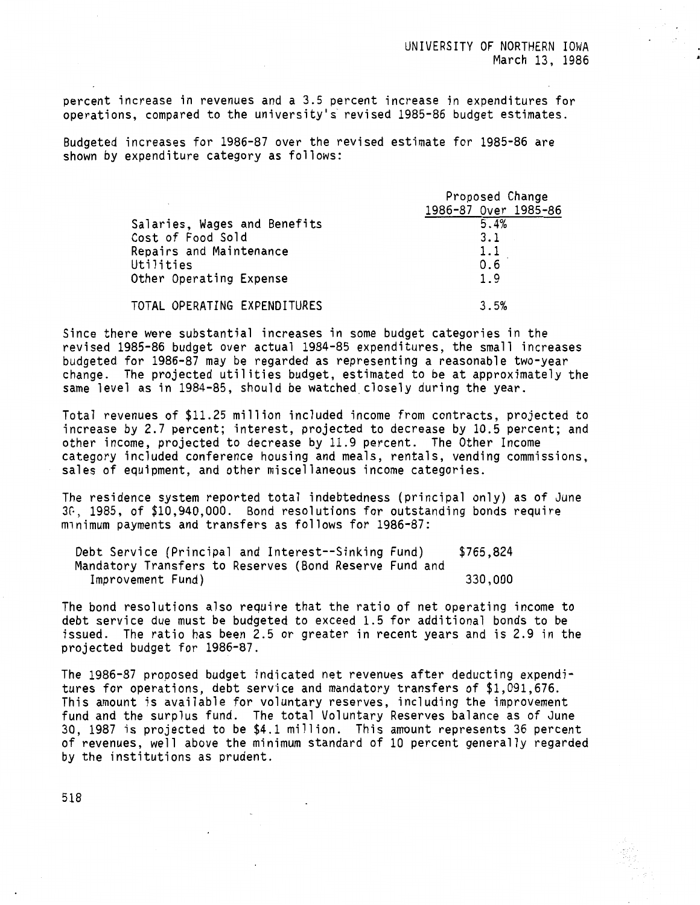percent increase in revenues and a 3.5 percent increase in expenditures for operations, compared to the university's revised 1985-86 budget estimates.

Budgeted increases for 1986-87 over the revised estimate for 1985-86 are shown by expenditure category as follows:

|                              | Proposed Change      |  |
|------------------------------|----------------------|--|
|                              | 1986-87 Over 1985-86 |  |
| Salaries, Wages and Benefits | 5.4%                 |  |
| Cost of Food Sold            | 3.1                  |  |
| Repairs and Maintenance      | 1.1                  |  |
| Utilities                    | 0.6                  |  |
| Other Operating Expense      | 1.9                  |  |
| TOTAL OPERATING EXPENDITURES | 3.5%                 |  |

Since there were substantial increases in some budget categories in the revised 1985-86 budget over actual 1984-85 expenditures, the small increases budgeted for 1986-87 may be regarded as representing a reasonable two-year change. The projected utilities budget, estimated to be at approximately the same level as in 1984-85, should be watched.closely during the year.

Total revenues of \$11.25 million included income from contracts, projected to increase by 2.7 percent; interest, projected to decrease by 10.5 percent; and other income, projected to decrease by 11.9 percent. The Other Income category included conference housing and meals, rentals, vending commissions, sales of equipment, and other miscellaneous income categories.

The residence system reported total indebtedness (principal only) as of June 3G, 1985, of \$10,940,000. Bond resolutions for outstanding bonds require minimum payments and transfers as follows for 1986-87:

| Debt Service (Principal and Interest--Sinking Fund)    | \$765,824 |
|--------------------------------------------------------|-----------|
| Mandatory Transfers to Reserves (Bond Reserve Fund and |           |
| Improvement Fund)                                      | 330,000   |

The bond resolutions also require that the ratio of net operating income to debt service due must be budgeted to exceed 1.5 for additional bonds to be issued. The ratio has been 2.5 or greater in recent years and is 2.9 in the projected budget for 1986-87.

The 1986-87 proposed budget indicated net revenues after deducting expenditures for operations, debt service and mandatory transfers of \$1,091,676. This amount is available for voluntary reserves, including the improvement fund and the surplus fund. The total Voluntary Reserves balance as of June 30, 1987 is projected to be \$4.1 million. This amount represents 36 percent of revenues, well above the minimum standard of 10 percent generally regarded by the institutions as prudent.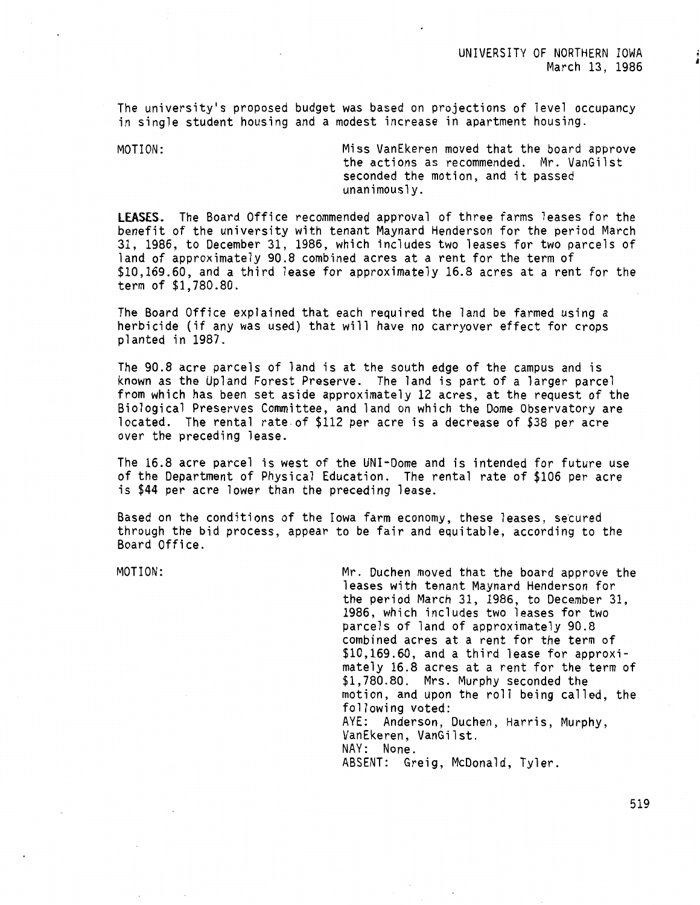•

The university's proposed budget was based on projections of level occupancy in single student housing and a modest increase in apartment housing.

MOTION: Miss VanEkeren moved that the board approve the actions as recommended. Mr. VanGilst seconded the motion, and it passed unanimously.

**LEASES.** The Board Office recommended approval of three farms leases for the benefit of the university with tenant Maynard Henderson for the period March 31, 1986, to December 31, 1986, which includes two leases for two parcels of land of approximately 90.8 combined acres at a rent for the term of \$10,169.60, and a third lease for approximately 16.8 acres at a rent for the term of \$1,780.80.

The Board Office explained that each required the land be farmed using a herbicide (if any was used) that will have no carryover effect for crops planted in 1987.

The 90.8 acre parcels of land is at the south edge of the campus and is known as the Upland Forest Preserve. The land is part of a larger parcel from which has been set aside approximately 12 acres, at the request of the Biological Preserves Committee, and land on which the Dome Observatory are located. The rental rate.of \$112 per acre is a decrease of \$38 per acre over the preceding lease.

The 16.8 acre parcel is west of the UNI-Dome and is intended for future use of the Department of Physical Education. The rental rate of \$106 per acre is \$44 per acre lower than the preceding lease.

Based on the conditions of the Iowa farm economy, these leases, secured through the bid process, appear to be fair and equitable, according to the Board Office.

MOTION: Mr. Duchen moved that the board approve the leases with tenant Maynard Henderson for the period March 31, 1986, to December 31, 1986, which includes two leases for two parcels of land of approximately 90.8 combined acres at a rent for the term of \$10,169.60, and a third lease for approximately 16.8 acres at a rent for the term of \$1,780.80. Mrs. Murphy seconded the motion, and upon the roll being called, the following voted: AYE: Anderson, Duchen, Harris, Murphy, VanEkeren, VanGilst. NAY: None. ABSENT: Greig, McDonald, Tyler.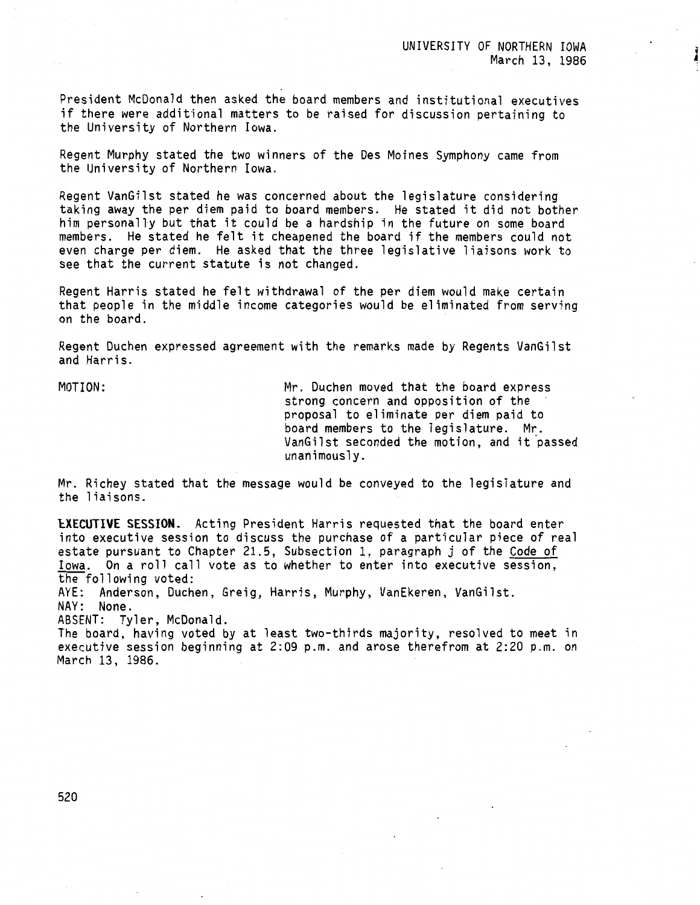President McDonald then asked the board members and institutional executives if there were additional matters to be raised for discussion pertaining to the University of Northern Iowa.

Regent Murphy stated the two winners of the Des Moines Symphony came from the University of Northern Iowa.

Regent VanGilst stated he was concerned about the legislature considering taking away the per diem paid to board members. He stated it did not bother him personally but that it could be a hardship in the future on some board members. He stated he felt it cheapened the board if the members could not even charge per diem. He asked that the three legislative liaisons work to see that the current statute is not changed.

Regent Harris stated he felt withdrawal of the per diem would make certain that people in the middle income categories would be eliminated from serving on the board.

Regent Duchen expressed agreement with the remarks made by Regents VanGilst and Harris.

MOTION: Mr. Duchen moved that the board express strong concern and opposition of the proposal to eliminate per diem paid to board members to the legislature. Mr. VanGilst seconded the motion, and it passed unanimously.

Mr. Richey stated that the message would be conveyed to the legislature and the liaisons.

**lXECUTIVE SESSION.** Acting President Harris requested that the board enter into executive session to discuss the purchase of a particular piece of real estate pursuant to Chapter 21.5, Subsection 1, paragraph j of the Code of Iowa. On a roll call vote as to whether to enter into executive session, the following voted: AYE: Anderson, Duchen, Greig, Harris, Murphy, VanEkeren, VanGilst. NAY: None.

ABSENT: Tyler, McDonald.

The board, having voted by at least two-thirds majority, resolved to meet in executive session beginning at 2:09 p.m. and arose therefrom at 2:20 p.m. on March 13, 1986.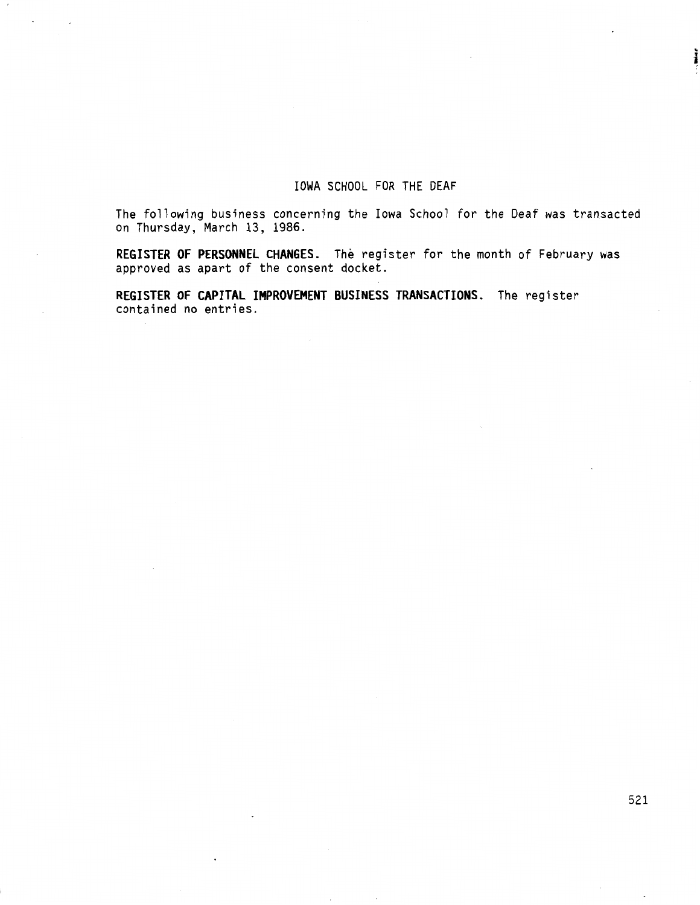# IOWA SCHOOL FOR THE DEAF

The following business concerning the Iowa School for the Deaf was transacted on Thursday, March 13, 1986.

**REGISTER OF PERSONNEL CHANGES.** The register for the month of February was approved as apart of the consent docket.

**REGISTER OF CAPITAL IMPROVEMENT BUSINESS TRANSACTIONS.** The register contained no entries.